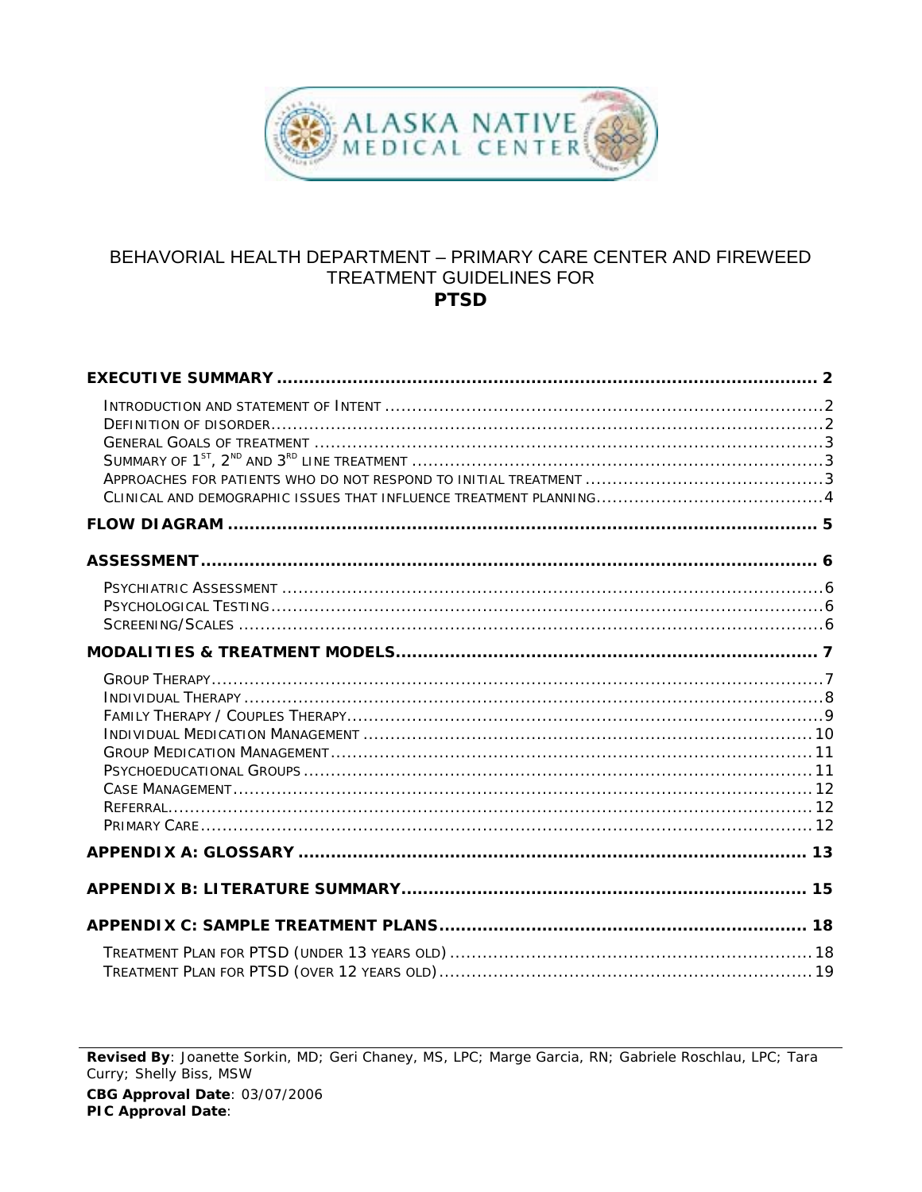

### BEHAVORIAL HEALTH DEPARTMENT - PRIMARY CARE CENTER AND FIREWEED TREATMENT GUIDELINES FOR **PTSD**

Revised By: Joanette Sorkin, MD; Geri Chaney, MS, LPC; Marge Garcia, RN; Gabriele Roschlau, LPC; Tara Curry; Shelly Biss, MSW CBG Approval Date: 03/07/2006 PIC Approval Date: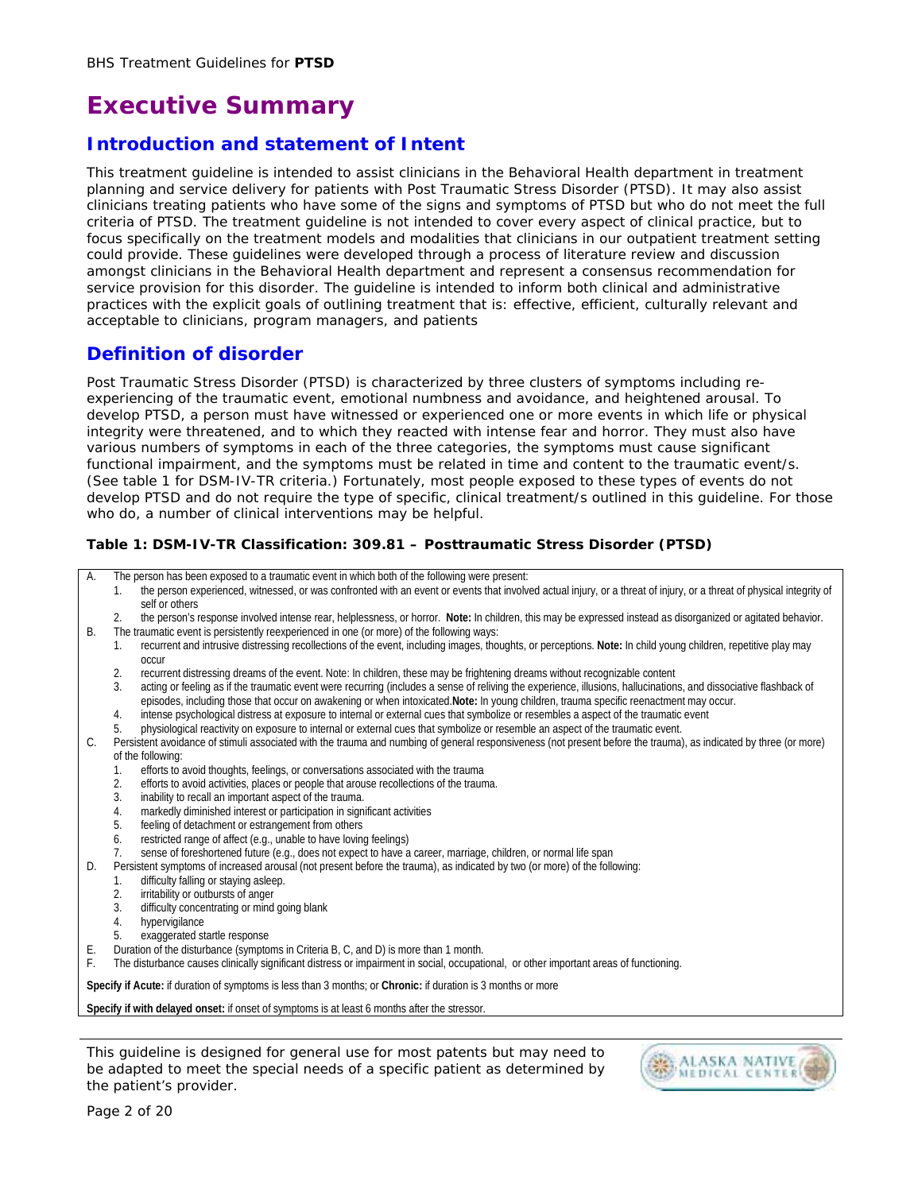# **Executive Summary**

## **Introduction and statement of Intent**

This treatment guideline is intended to assist clinicians in the Behavioral Health department in treatment planning and service delivery for patients with Post Traumatic Stress Disorder (PTSD). It may also assist clinicians treating patients who have some of the signs and symptoms of PTSD but who do not meet the full criteria of PTSD. The treatment guideline is not intended to cover every aspect of clinical practice, but to focus specifically on the treatment models and modalities that clinicians in our outpatient treatment setting could provide. These guidelines were developed through a process of literature review and discussion amongst clinicians in the Behavioral Health department and represent a consensus recommendation for service provision for this disorder. The guideline is intended to inform both clinical and administrative practices with the explicit goals of outlining treatment that is: effective, efficient, culturally relevant and acceptable to clinicians, program managers, and patients

### **Definition of disorder**

Post Traumatic Stress Disorder (PTSD) is characterized by three clusters of symptoms including reexperiencing of the traumatic event, emotional numbness and avoidance, and heightened arousal. To develop PTSD, a person must have witnessed or experienced one or more events in which life or physical integrity were threatened, and to which they reacted with intense fear and horror. They must also have various numbers of symptoms in each of the three categories, the symptoms must cause significant functional impairment, and the symptoms must be related in time and content to the traumatic event/s. (See table 1 for DSM-IV-TR criteria.) Fortunately, most people exposed to these types of events do not develop PTSD and do not require the type of specific, clinical treatment/s outlined in this guideline. For those who do, a number of clinical interventions may be helpful.

#### **Table 1: DSM-IV-TR Classification: 309.81 – Posttraumatic Stress Disorder (PTSD)**

A. The person has been exposed to a traumatic event in which both of the following were present:

- 1. the person experienced, witnessed, or was confronted with an event or events that involved actual injury, or a threat of injury, or a threat of physical integrity of self or others
- 2. the person's response involved intense rear, helplessness, or horror. **Note:** In children, this may be expressed instead as disorganized or agitated behavior. B. The traumatic event is persistently reexperienced in one (or more) of the following ways:
	- 1. recurrent and intrusive distressing recollections of the event, including images, thoughts, or perceptions. **Note:** In child young children, repetitive play may occur
	- 2. recurrent distressing dreams of the event. Note: In children, these may be frightening dreams without recognizable content<br>3. acting or feeling as if the traumatic event were recurring (includes a sense of reliving the
	- acting or feeling as if the traumatic event were recurring (includes a sense of reliving the experience, illusions, hallucinations, and dissociative flashback of episodes, including those that occur on awakening or when intoxicated.**Note:** In young children, trauma specific reenactment may occur.
	- 4. intense psychological distress at exposure to internal or external cues that symbolize or resembles a aspect of the traumatic event
	- 5. physiological reactivity on exposure to internal or external cues that symbolize or resemble an aspect of the traumatic event.
- C. Persistent avoidance of stimuli associated with the trauma and numbing of general responsiveness (not present before the trauma), as indicated by three (or more) of the following:
	- 1. efforts to avoid thoughts, feelings, or conversations associated with the trauma
	- 2. efforts to avoid activities, places or people that arouse recollections of the trauma.
	- 3. inability to recall an important aspect of the trauma.
	- 4. markedly diminished interest or participation in significant activities
	- 5. feeling of detachment or estrangement from others
	- 6. restricted range of affect (e.g., unable to have loving feelings)
	- 7. sense of foreshortened future (e.g., does not expect to have a career, marriage, children, or normal life span
- D. Persistent symptoms of increased arousal (not present before the trauma), as indicated by two (or more) of the following:
	- 1. difficulty falling or staying asleep.
	- 2. irritability or outbursts of anger
	- 3. difficulty concentrating or mind going blank
	- 4. hypervigilance
	- 5. exaggerated startle response
- E. Duration of the disturbance (symptoms in Criteria B, C, and D) is more than 1 month.
- F. The disturbance causes clinically significant distress or impairment in social, occupational, or other important areas of functioning.

**Specify if Acute:** if duration of symptoms is less than 3 months; or **Chronic:** if duration is 3 months or more

**Specify if with delayed onset:** if onset of symptoms is at least 6 months after the stressor.

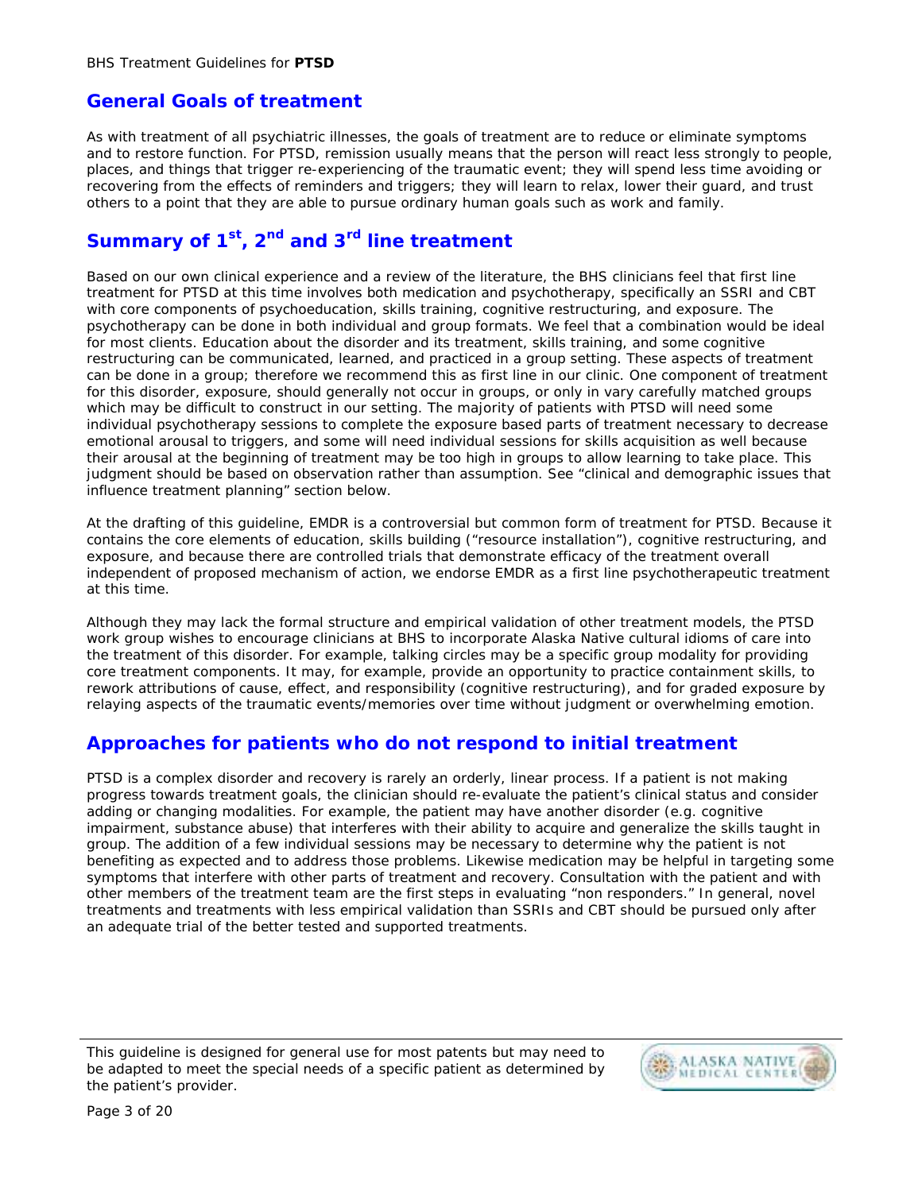## **General Goals of treatment**

As with treatment of all psychiatric illnesses, the goals of treatment are to reduce or eliminate symptoms and to restore function. For PTSD, remission usually means that the person will react less strongly to people, places, and things that trigger re-experiencing of the traumatic event; they will spend less time avoiding or recovering from the effects of reminders and triggers; they will learn to relax, lower their guard, and trust others to a point that they are able to pursue ordinary human goals such as work and family.

## **Summary of 1st, 2nd and 3rd line treatment**

Based on our own clinical experience and a review of the literature, the BHS clinicians feel that first line treatment for PTSD at this time involves both medication and psychotherapy, specifically an SSRI and CBT with core components of psychoeducation, skills training, cognitive restructuring, and exposure. The psychotherapy can be done in both individual and group formats. We feel that a combination would be ideal for most clients. Education about the disorder and its treatment, skills training, and some cognitive restructuring can be communicated, learned, and practiced in a group setting. These aspects of treatment can be done in a group; therefore we recommend this as first line in our clinic. One component of treatment for this disorder, exposure, should generally not occur in groups, or only in vary carefully matched groups which may be difficult to construct in our setting. The majority of patients with PTSD will need some individual psychotherapy sessions to complete the exposure based parts of treatment necessary to decrease emotional arousal to triggers, and some will need individual sessions for skills acquisition as well because their arousal at the beginning of treatment may be too high in groups to allow learning to take place. This judgment should be based on observation rather than assumption. See "clinical and demographic issues that influence treatment planning" section below.

At the drafting of this guideline, EMDR is a controversial but common form of treatment for PTSD. Because it contains the core elements of education, skills building ("resource installation"), cognitive restructuring, and exposure, and because there are controlled trials that demonstrate efficacy of the treatment overall independent of proposed mechanism of action, we endorse EMDR as a first line psychotherapeutic treatment at this time.

Although they may lack the formal structure and empirical validation of other treatment models, the PTSD work group wishes to encourage clinicians at BHS to incorporate Alaska Native cultural idioms of care into the treatment of this disorder. For example, talking circles may be a specific group modality for providing core treatment components. It may, for example, provide an opportunity to practice containment skills, to rework attributions of cause, effect, and responsibility (cognitive restructuring), and for graded exposure by relaying aspects of the traumatic events/memories over time without judgment or overwhelming emotion.

## **Approaches for patients who do not respond to initial treatment**

PTSD is a complex disorder and recovery is rarely an orderly, linear process. If a patient is not making progress towards treatment goals, the clinician should re-evaluate the patient's clinical status and consider adding or changing modalities. For example, the patient may have another disorder (e.g. cognitive impairment, substance abuse) that interferes with their ability to acquire and generalize the skills taught in group. The addition of a few individual sessions may be necessary to determine why the patient is not benefiting as expected and to address those problems. Likewise medication may be helpful in targeting some symptoms that interfere with other parts of treatment and recovery. Consultation with the patient and with other members of the treatment team are the first steps in evaluating "non responders." In general, novel treatments and treatments with less empirical validation than SSRIs and CBT should be pursued only after an adequate trial of the better tested and supported treatments.

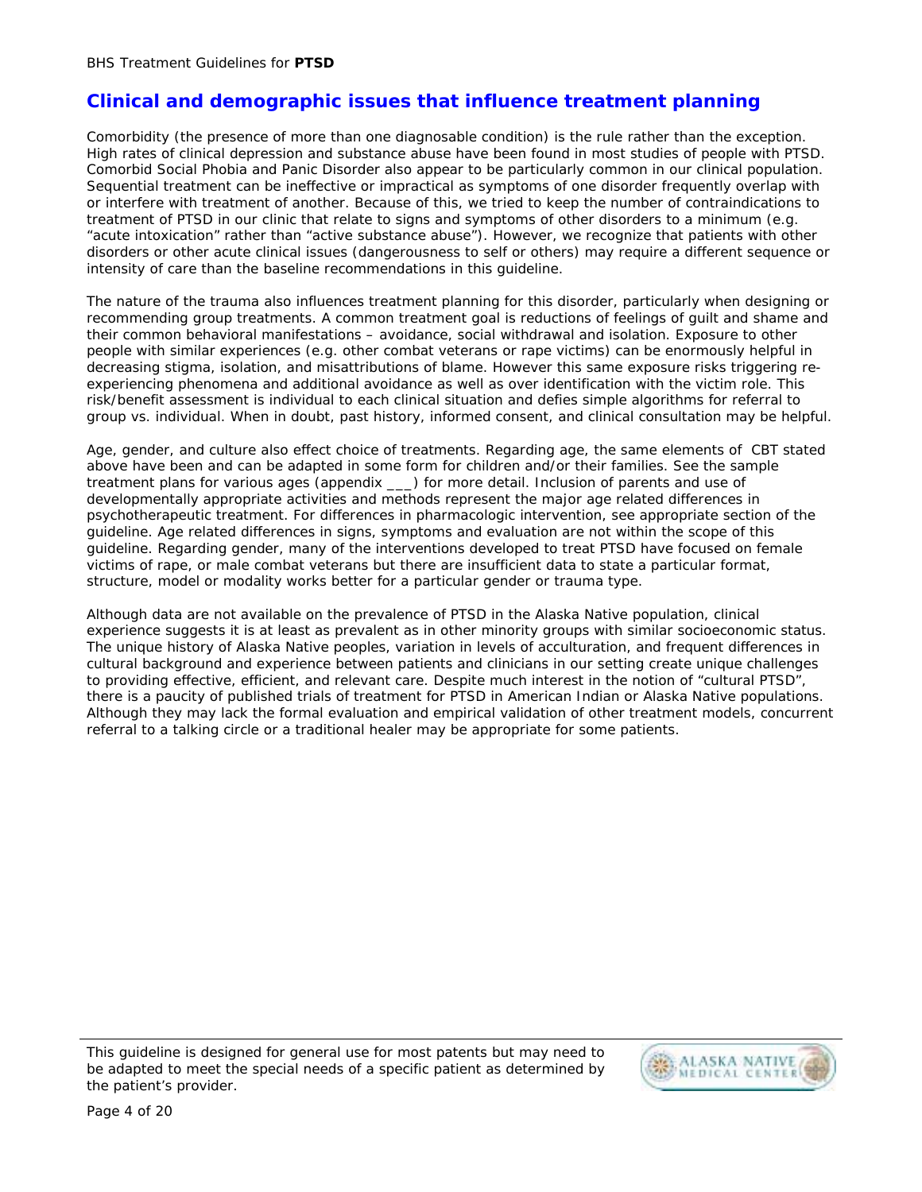### **Clinical and demographic issues that influence treatment planning**

Comorbidity (the presence of more than one diagnosable condition) is the rule rather than the exception. High rates of clinical depression and substance abuse have been found in most studies of people with PTSD. Comorbid Social Phobia and Panic Disorder also appear to be particularly common in our clinical population. Sequential treatment can be ineffective or impractical as symptoms of one disorder frequently overlap with or interfere with treatment of another. Because of this, we tried to keep the number of contraindications to treatment of PTSD in our clinic that relate to signs and symptoms of other disorders to a minimum (e.g. "acute intoxication" rather than "active substance abuse"). However, we recognize that patients with other disorders or other acute clinical issues (dangerousness to self or others) may require a different sequence or intensity of care than the baseline recommendations in this guideline.

The nature of the trauma also influences treatment planning for this disorder, particularly when designing or recommending group treatments. A common treatment goal is reductions of feelings of guilt and shame and their common behavioral manifestations – avoidance, social withdrawal and isolation. Exposure to other people with similar experiences (e.g. other combat veterans or rape victims) can be enormously helpful in decreasing stigma, isolation, and misattributions of blame. However this same exposure risks triggering reexperiencing phenomena and additional avoidance as well as over identification with the victim role. This risk/benefit assessment is individual to each clinical situation and defies simple algorithms for referral to group vs. individual. When in doubt, past history, informed consent, and clinical consultation may be helpful.

Age, gender, and culture also effect choice of treatments. Regarding age, the same elements of CBT stated above have been and can be adapted in some form for children and/or their families. See the sample treatment plans for various ages (appendix \_\_\_) for more detail. Inclusion of parents and use of developmentally appropriate activities and methods represent the major age related differences in psychotherapeutic treatment. For differences in pharmacologic intervention, see appropriate section of the guideline. Age related differences in signs, symptoms and evaluation are not within the scope of this guideline. Regarding gender, many of the interventions developed to treat PTSD have focused on female victims of rape, or male combat veterans but there are insufficient data to state a particular format, structure, model or modality works better for a particular gender or trauma type.

Although data are not available on the prevalence of PTSD in the Alaska Native population, clinical experience suggests it is at least as prevalent as in other minority groups with similar socioeconomic status. The unique history of Alaska Native peoples, variation in levels of acculturation, and frequent differences in cultural background and experience between patients and clinicians in our setting create unique challenges to providing effective, efficient, and relevant care. Despite much interest in the notion of "cultural PTSD", there is a paucity of published trials of treatment for PTSD in American Indian or Alaska Native populations. Although they may lack the formal evaluation and empirical validation of other treatment models, concurrent referral to a talking circle or a traditional healer may be appropriate for some patients.

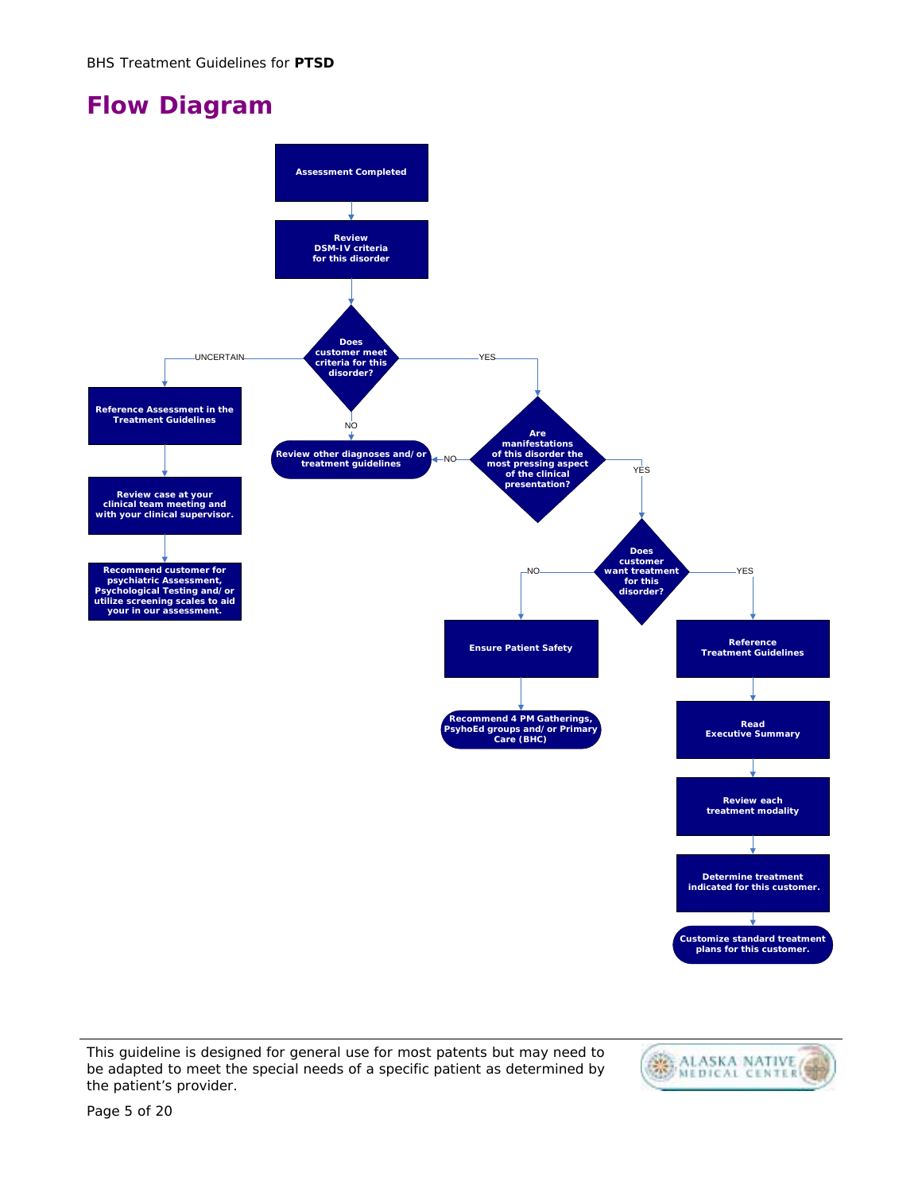# **Flow Diagram**



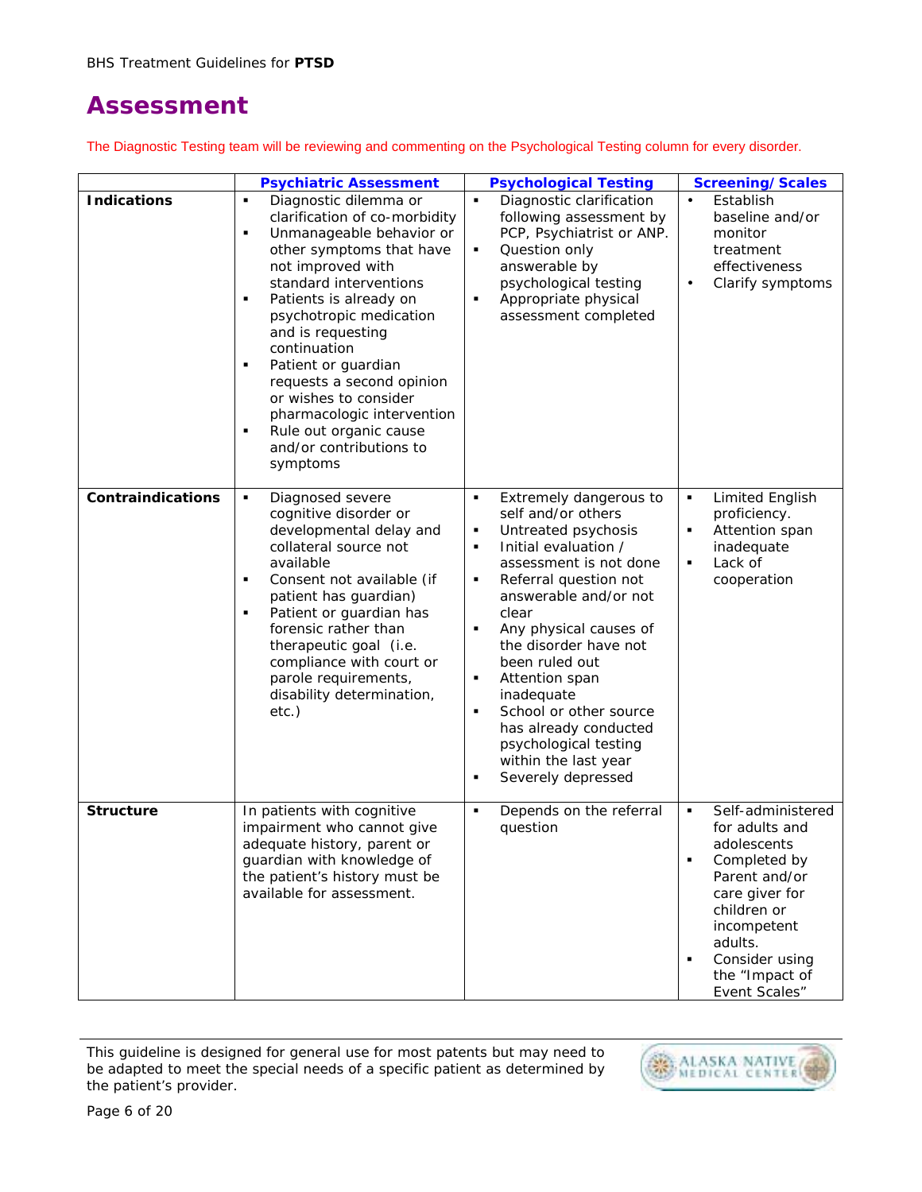# **Assessment**

The Diagnostic Testing team will be reviewing and commenting on the Psychological Testing column for every disorder.

|                    | <b>Psychiatric Assessment</b>                                                                                                                                                                                                                                                                                                                                                                                                                                             | <b>Psychological Testing</b>                                                                                                                                                                                                                                                                                                                                                                                                                                                                           | Screening/Scales                                                                                                                                                                                                                             |
|--------------------|---------------------------------------------------------------------------------------------------------------------------------------------------------------------------------------------------------------------------------------------------------------------------------------------------------------------------------------------------------------------------------------------------------------------------------------------------------------------------|--------------------------------------------------------------------------------------------------------------------------------------------------------------------------------------------------------------------------------------------------------------------------------------------------------------------------------------------------------------------------------------------------------------------------------------------------------------------------------------------------------|----------------------------------------------------------------------------------------------------------------------------------------------------------------------------------------------------------------------------------------------|
| <b>Indications</b> | Diagnostic dilemma or<br>$\blacksquare$<br>clarification of co-morbidity<br>Unmanageable behavior or<br>٠<br>other symptoms that have<br>not improved with<br>standard interventions<br>٠<br>Patients is already on<br>psychotropic medication<br>and is requesting<br>continuation<br>Patient or guardian<br>٠<br>requests a second opinion<br>or wishes to consider<br>pharmacologic intervention<br>Rule out organic cause<br>٠<br>and/or contributions to<br>symptoms | $\blacksquare$<br>Diagnostic clarification<br>following assessment by<br>PCP, Psychiatrist or ANP.<br>Question only<br>٠<br>answerable by<br>psychological testing<br>Appropriate physical<br>$\blacksquare$<br>assessment completed                                                                                                                                                                                                                                                                   | Establish<br>$\bullet$<br>baseline and/or<br>monitor<br>treatment<br>effectiveness<br>Clarify symptoms<br>$\bullet$                                                                                                                          |
| Contraindications  | $\blacksquare$<br>Diagnosed severe<br>cognitive disorder or<br>developmental delay and<br>collateral source not<br>available<br>Consent not available (if<br>٠<br>patient has guardian)<br>Patient or guardian has<br>٠<br>forensic rather than<br>therapeutic goal (i.e.<br>compliance with court or<br>parole requirements,<br>disability determination,<br>$etc.$ )                                                                                                    | Extremely dangerous to<br>$\blacksquare$<br>self and/or others<br>Untreated psychosis<br>٠<br>Initial evaluation /<br>$\blacksquare$<br>assessment is not done<br>Referral question not<br>٠<br>answerable and/or not<br>clear<br>Any physical causes of<br>the disorder have not<br>been ruled out<br>Attention span<br>$\blacksquare$<br>inadequate<br>School or other source<br>$\blacksquare$<br>has already conducted<br>psychological testing<br>within the last year<br>Severely depressed<br>٠ | <b>Limited English</b><br>$\blacksquare$<br>proficiency.<br>Attention span<br>п<br>inadequate<br>Lack of<br>$\blacksquare$<br>cooperation                                                                                                    |
| <b>Structure</b>   | In patients with cognitive<br>impairment who cannot give<br>adequate history, parent or<br>guardian with knowledge of<br>the patient's history must be<br>available for assessment.                                                                                                                                                                                                                                                                                       | Depends on the referral<br>$\blacksquare$<br>question                                                                                                                                                                                                                                                                                                                                                                                                                                                  | Self-administered<br>٠<br>for adults and<br>adolescents<br>Completed by<br>$\blacksquare$<br>Parent and/or<br>care giver for<br>children or<br>incompetent<br>adults.<br>Consider using<br>$\blacksquare$<br>the "Impact of<br>Event Scales" |

This guideline is designed for general use for most patents but may need to be adapted to meet the special needs of a specific patient as determined by the patient's provider.

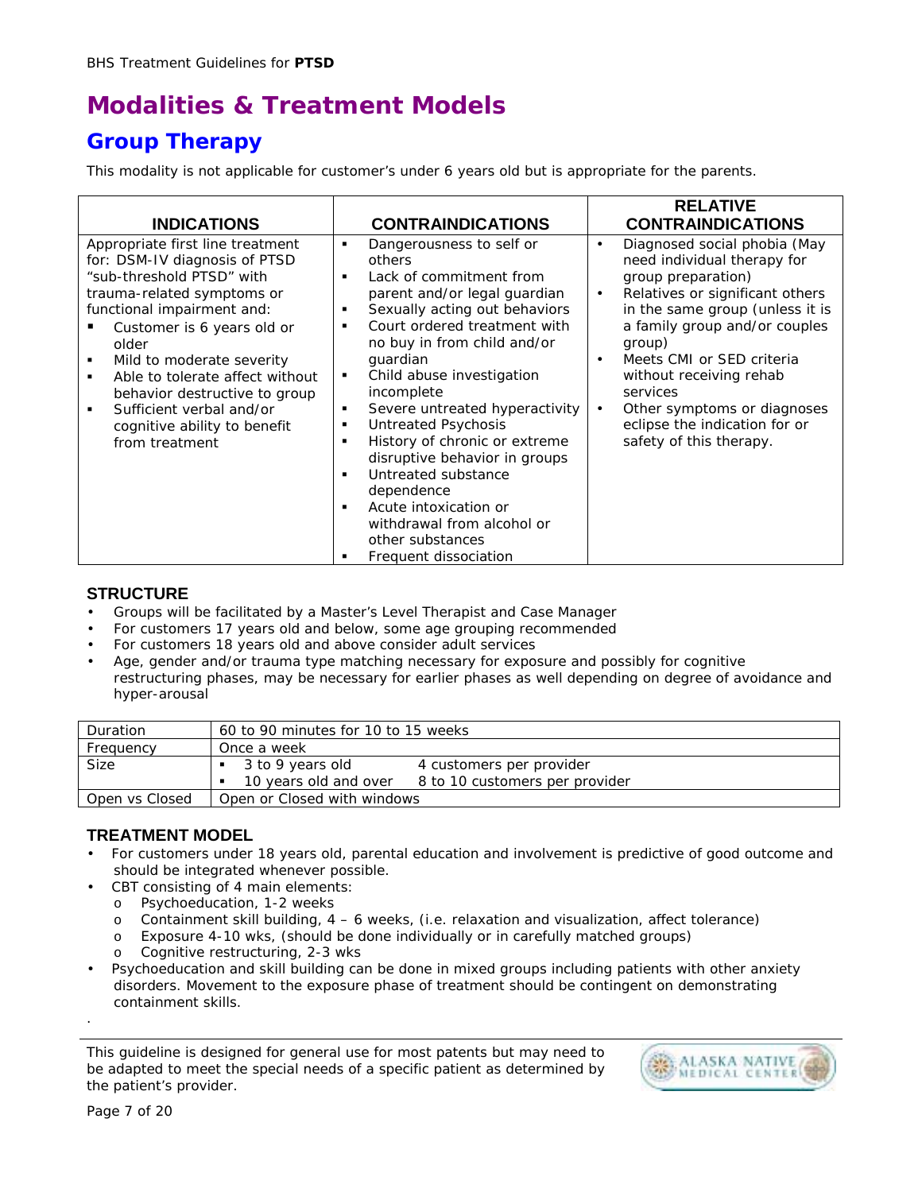# **Modalities & Treatment Models**

## **Group Therapy**

This modality is not applicable for customer's under 6 years old but is appropriate for the parents.

|                                                                                                                                                                                                                                                                                                                                                                                  |                                                                                                                                                                                                                                                                                                                                                                                                                                                                                                                                                                       | <b>RELATIVE</b>                                                                                                                                                                                                                                                                                                                                                                                          |
|----------------------------------------------------------------------------------------------------------------------------------------------------------------------------------------------------------------------------------------------------------------------------------------------------------------------------------------------------------------------------------|-----------------------------------------------------------------------------------------------------------------------------------------------------------------------------------------------------------------------------------------------------------------------------------------------------------------------------------------------------------------------------------------------------------------------------------------------------------------------------------------------------------------------------------------------------------------------|----------------------------------------------------------------------------------------------------------------------------------------------------------------------------------------------------------------------------------------------------------------------------------------------------------------------------------------------------------------------------------------------------------|
| <b>INDICATIONS</b>                                                                                                                                                                                                                                                                                                                                                               | <b>CONTRAINDICATIONS</b>                                                                                                                                                                                                                                                                                                                                                                                                                                                                                                                                              | <b>CONTRAINDICATIONS</b>                                                                                                                                                                                                                                                                                                                                                                                 |
| Appropriate first line treatment<br>for: DSM-IV diagnosis of PTSD<br>"sub-threshold PTSD" with<br>trauma-related symptoms or<br>functional impairment and:<br>Customer is 6 years old or<br>older<br>Mild to moderate severity<br>Able to tolerate affect without<br>behavior destructive to group<br>Sufficient verbal and/or<br>cognitive ability to benefit<br>from treatment | Dangerousness to self or<br>٠<br>others<br>Lack of commitment from<br>٠<br>parent and/or legal guardian<br>Sexually acting out behaviors<br>٠<br>Court ordered treatment with<br>٠<br>no buy in from child and/or<br>quardian<br>Child abuse investigation<br>٠<br>incomplete<br>Severe untreated hyperactivity<br>٠<br>Untreated Psychosis<br>٠<br>History of chronic or extreme<br>٠<br>disruptive behavior in groups<br>Untreated substance<br>٠<br>dependence<br>Acute intoxication or<br>withdrawal from alcohol or<br>other substances<br>Frequent dissociation | Diagnosed social phobia (May<br>$\bullet$<br>need individual therapy for<br>group preparation)<br>Relatives or significant others<br>$\bullet$<br>in the same group (unless it is<br>a family group and/or couples<br>group)<br>Meets CMI or SED criteria<br>without receiving rehab<br>services<br>Other symptoms or diagnoses<br>$\bullet$<br>eclipse the indication for or<br>safety of this therapy. |

#### **STRUCTURE**

- Groups will be facilitated by a Master's Level Therapist and Case Manager
- For customers 17 years old and below, some age grouping recommended
- For customers 18 years old and above consider adult services
- Age, gender and/or trauma type matching necessary for exposure and possibly for cognitive restructuring phases, may be necessary for earlier phases as well depending on degree of avoidance and hyper-arousal

| Duration       | 60 to 90 minutes for 10 to 15 weeks                     |
|----------------|---------------------------------------------------------|
| Frequency      | Once a week                                             |
| Size           | 3 to 9 years old<br>4 customers per provider            |
|                | 10 years old and over<br>8 to 10 customers per provider |
| Open vs Closed | Open or Closed with windows                             |

### **TREATMENT MODEL**

- For customers under 18 years old, parental education and involvement is predictive of good outcome and should be integrated whenever possible.
- CBT consisting of 4 main elements:
	- o Psychoeducation, 1-2 weeks
	- Containment skill building,  $4 6$  weeks, (i.e. relaxation and visualization, affect tolerance)
	- o Exposure 4-10 wks, (should be done individually or in carefully matched groups)
	- o Cognitive restructuring, 2-3 wks
- Psychoeducation and skill building can be done in mixed groups including patients with other anxiety disorders. Movement to the exposure phase of treatment should be contingent on demonstrating containment skills.

This guideline is designed for general use for most patents but may need to be adapted to meet the special needs of a specific patient as determined by the patient's provider.



.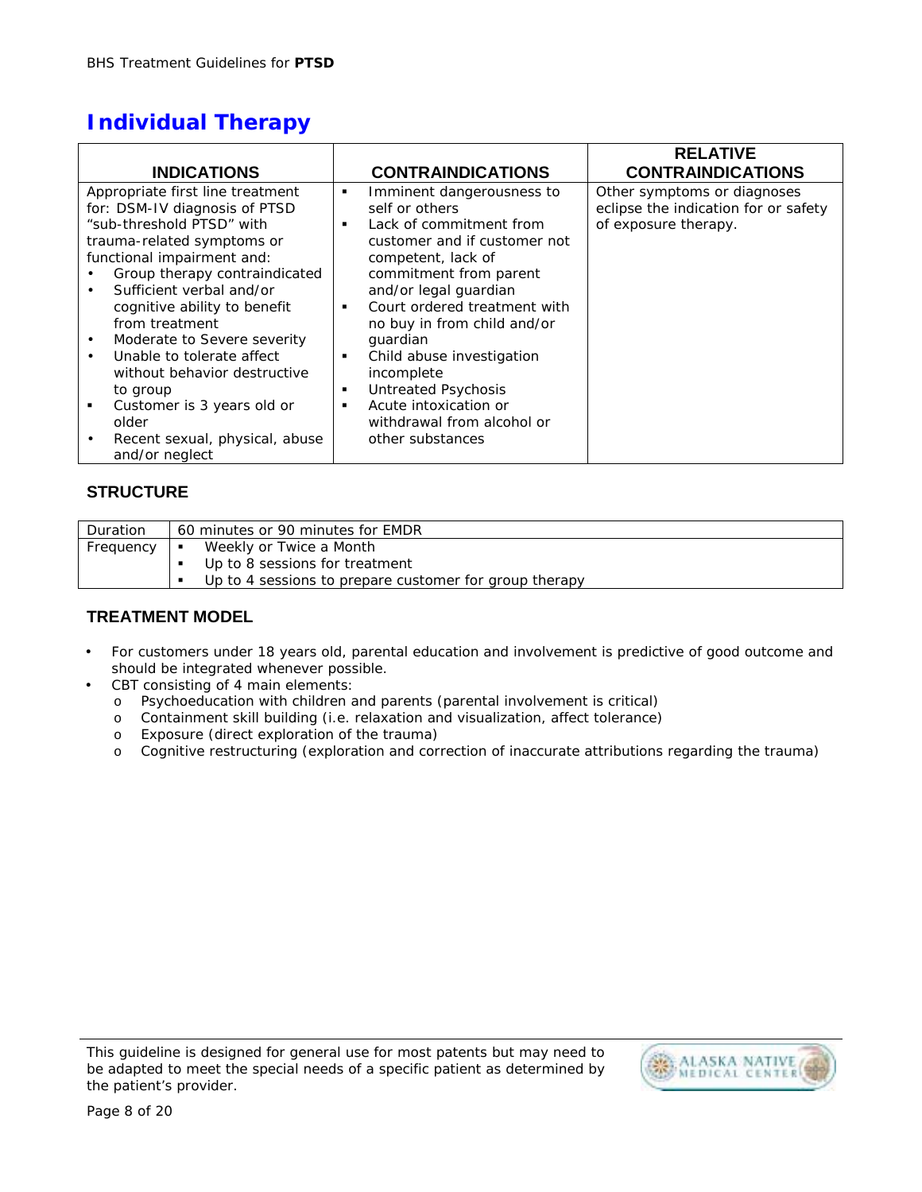# **Individual Therapy**

|                                                                                                                                                                                                                                                                                                                                                                                                                                                                                                              |                       |                                                                                                                                                                                                                                                                                                                                                                                                         | <b>RELATIVE</b>                                                                             |
|--------------------------------------------------------------------------------------------------------------------------------------------------------------------------------------------------------------------------------------------------------------------------------------------------------------------------------------------------------------------------------------------------------------------------------------------------------------------------------------------------------------|-----------------------|---------------------------------------------------------------------------------------------------------------------------------------------------------------------------------------------------------------------------------------------------------------------------------------------------------------------------------------------------------------------------------------------------------|---------------------------------------------------------------------------------------------|
| <b>INDICATIONS</b>                                                                                                                                                                                                                                                                                                                                                                                                                                                                                           |                       | <b>CONTRAINDICATIONS</b>                                                                                                                                                                                                                                                                                                                                                                                | <b>CONTRAINDICATIONS</b>                                                                    |
| Appropriate first line treatment<br>for: DSM-IV diagnosis of PTSD<br>"sub-threshold PTSD" with<br>trauma-related symptoms or<br>functional impairment and:<br>Group therapy contraindicated<br>Sufficient verbal and/or<br>cognitive ability to benefit<br>from treatment<br>Moderate to Severe severity<br>$\bullet$<br>Unable to tolerate affect<br>$\bullet$<br>without behavior destructive<br>to group<br>Customer is 3 years old or<br>п.<br>older<br>Recent sexual, physical, abuse<br>and/or neglect | ٠<br>٠<br>٠<br>٠<br>٠ | Imminent dangerousness to<br>self or others<br>Lack of commitment from<br>customer and if customer not<br>competent, lack of<br>commitment from parent<br>and/or legal guardian<br>Court ordered treatment with<br>no buy in from child and/or<br>quardian<br>Child abuse investigation<br>incomplete<br>Untreated Psychosis<br>Acute intoxication or<br>withdrawal from alcohol or<br>other substances | Other symptoms or diagnoses<br>eclipse the indication for or safety<br>of exposure therapy. |

### **STRUCTURE**

| Duration  | 60 minutes or 90 minutes for EMDR                                                                                                 |
|-----------|-----------------------------------------------------------------------------------------------------------------------------------|
| Frequency | Weekly or Twice a Month<br><b>COL</b><br>Up to 8 sessions for treatment<br>Up to 4 sessions to prepare customer for group therapy |
|           |                                                                                                                                   |

## **TREATMENT MODEL**

- For customers under 18 years old, parental education and involvement is predictive of good outcome and should be integrated whenever possible.
- CBT consisting of 4 main elements:
	- o Psychoeducation with children and parents (parental involvement is critical)
	- o Containment skill building (i.e. relaxation and visualization, affect tolerance)
	- o Exposure (direct exploration of the trauma)
	- o Cognitive restructuring (exploration and correction of inaccurate attributions regarding the trauma)

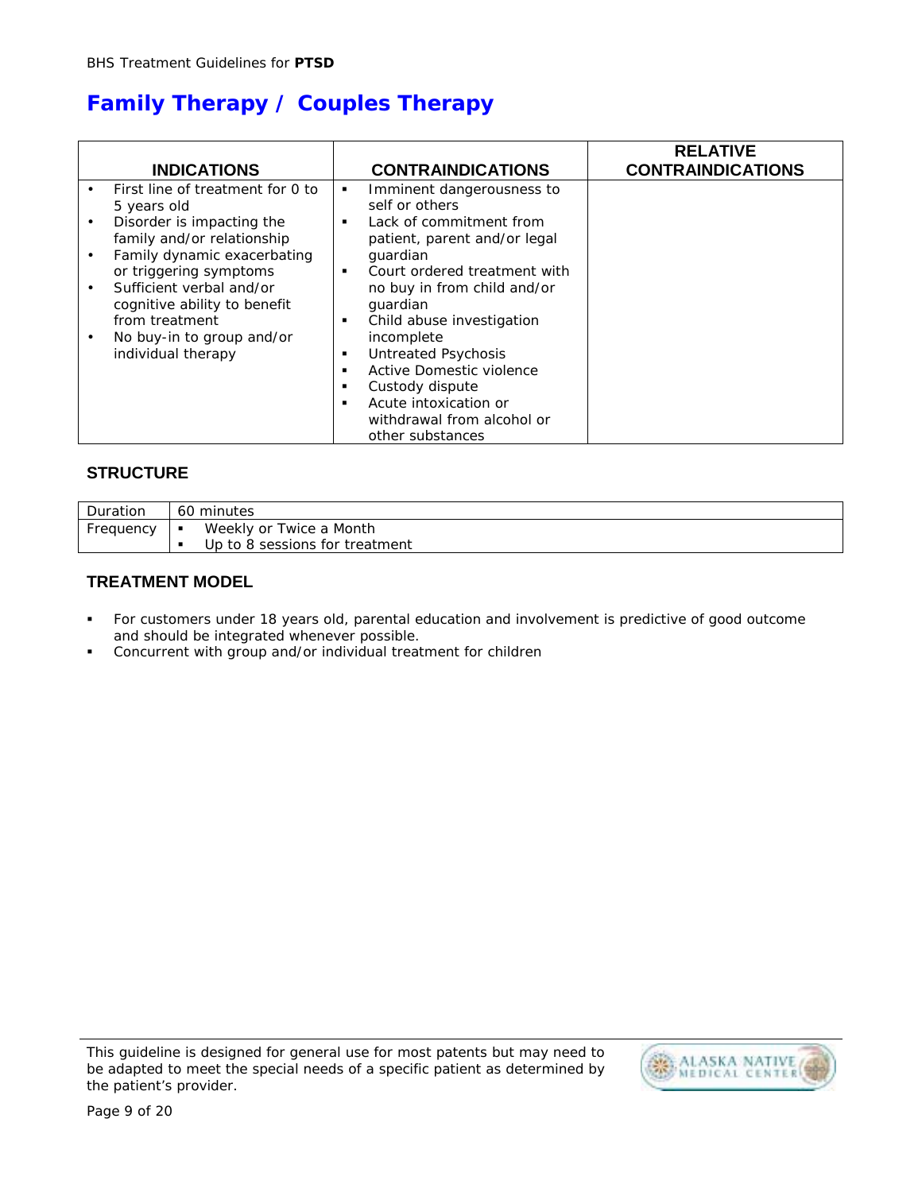# **Family Therapy / Couples Therapy**

|           | <b>INDICATIONS</b>                                                                     |                               | <b>CONTRAINDICATIONS</b>                                                                                             | <b>RELATIVE</b><br><b>CONTRAINDICATIONS</b> |
|-----------|----------------------------------------------------------------------------------------|-------------------------------|----------------------------------------------------------------------------------------------------------------------|---------------------------------------------|
|           | First line of treatment for 0 to<br>5 years old                                        | ٠                             | Imminent dangerousness to<br>self or others                                                                          |                                             |
| $\bullet$ | Disorder is impacting the<br>family and/or relationship<br>Family dynamic exacerbating | ٠                             | Lack of commitment from<br>patient, parent and/or legal<br>quardian                                                  |                                             |
|           | or triggering symptoms<br>Sufficient verbal and/or<br>cognitive ability to benefit     | $\blacksquare$                | Court ordered treatment with<br>no buy in from child and/or<br>quardian                                              |                                             |
|           | from treatment<br>No buy-in to group and/or<br>individual therapy                      | ٠<br>٠<br>$\blacksquare$<br>٠ | Child abuse investigation<br>incomplete<br><b>Untreated Psychosis</b><br>Active Domestic violence<br>Custody dispute |                                             |
|           |                                                                                        | ٠                             | Acute intoxication or<br>withdrawal from alcohol or<br>other substances                                              |                                             |

### **STRUCTURE**

| Duration  | 60 minutes                     |
|-----------|--------------------------------|
| Frequency | Weekly or Twice a Month        |
|           | Up to 8 sessions for treatment |

### **TREATMENT MODEL**

- ! For customers under 18 years old, parental education and involvement is predictive of good outcome and should be integrated whenever possible.
- ! Concurrent with group and/or individual treatment for children

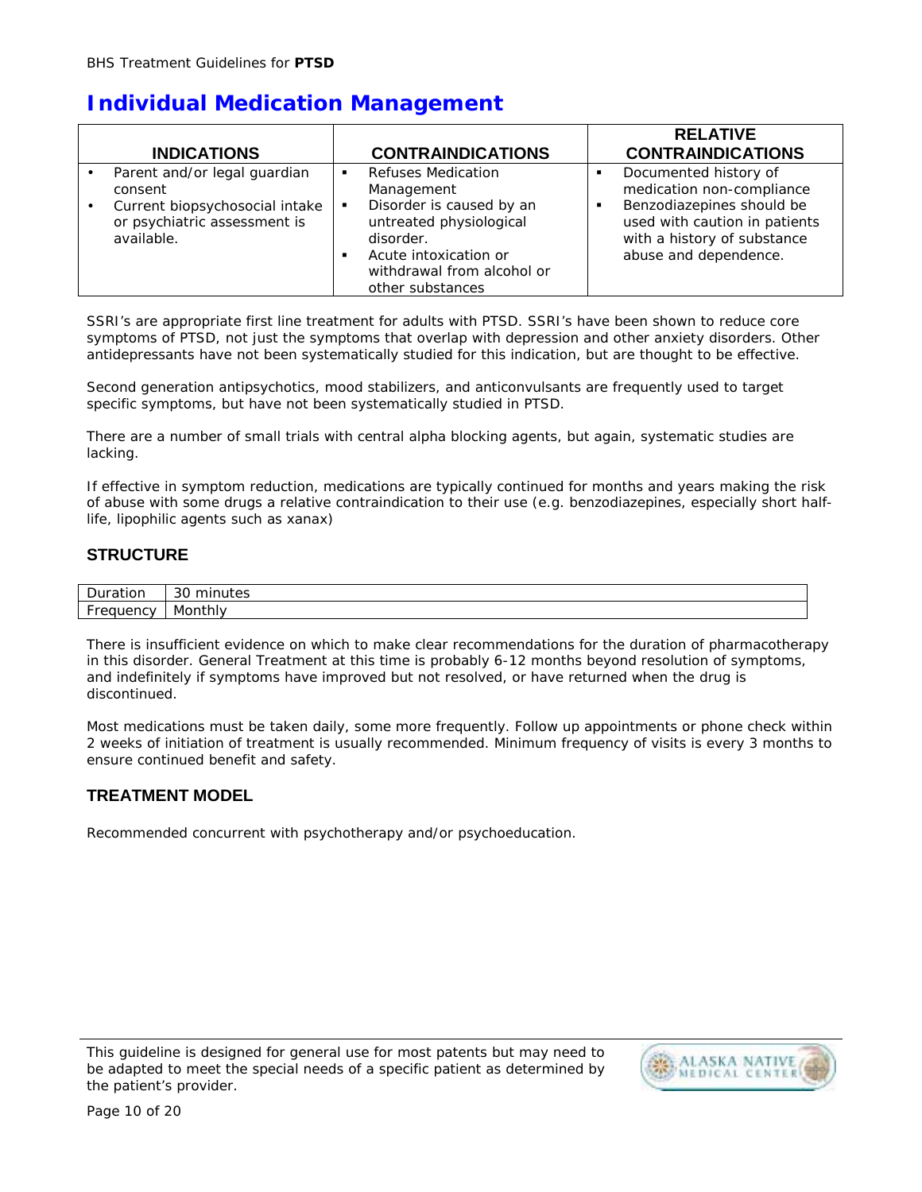## **Individual Medication Management**

| <b>INDICATIONS</b>                                                           |                | <b>CONTRAINDICATIONS</b>                                                | <b>RELATIVE</b><br><b>CONTRAINDICATIONS</b>                                               |
|------------------------------------------------------------------------------|----------------|-------------------------------------------------------------------------|-------------------------------------------------------------------------------------------|
| Parent and/or legal guardian                                                 | $\blacksquare$ | <b>Refuses Medication</b>                                               | Documented history of                                                                     |
| consent                                                                      |                | Management                                                              | medication non-compliance                                                                 |
| Current biopsychosocial intake<br>or psychiatric assessment is<br>available. | ٠              | Disorder is caused by an<br>untreated physiological<br>disorder.        | Benzodiazepines should be<br>used with caution in patients<br>with a history of substance |
|                                                                              | ٠              | Acute intoxication or<br>withdrawal from alcohol or<br>other substances | abuse and dependence.                                                                     |

SSRI's are appropriate first line treatment for adults with PTSD. SSRI's have been shown to reduce core symptoms of PTSD, not just the symptoms that overlap with depression and other anxiety disorders. Other antidepressants have not been systematically studied for this indication, but are thought to be effective.

Second generation antipsychotics, mood stabilizers, and anticonvulsants are frequently used to target specific symptoms, but have not been systematically studied in PTSD.

There are a number of small trials with central alpha blocking agents, but again, systematic studies are lacking.

If effective in symptom reduction, medications are typically continued for months and years making the risk of abuse with some drugs a relative contraindication to their use (e.g. benzodiazepines, especially short halflife, lipophilic agents such as xanax)

### **STRUCTURE**

| $\sim$     | Duration                           | $\sim$<br>min<br>nutes<br>ΟU |  |
|------------|------------------------------------|------------------------------|--|
| . .<br>. . | <b>Fregu</b><br>பு<br>$\mathbf{v}$ | Month!`<br>utniy             |  |

There is insufficient evidence on which to make clear recommendations for the duration of pharmacotherapy in this disorder. General Treatment at this time is probably 6-12 months beyond resolution of symptoms, and indefinitely if symptoms have improved but not resolved, or have returned when the drug is discontinued.

Most medications must be taken daily, some more frequently. Follow up appointments or phone check within 2 weeks of initiation of treatment is usually recommended. Minimum frequency of visits is every 3 months to ensure continued benefit and safety.

### **TREATMENT MODEL**

Recommended concurrent with psychotherapy and/or psychoeducation.

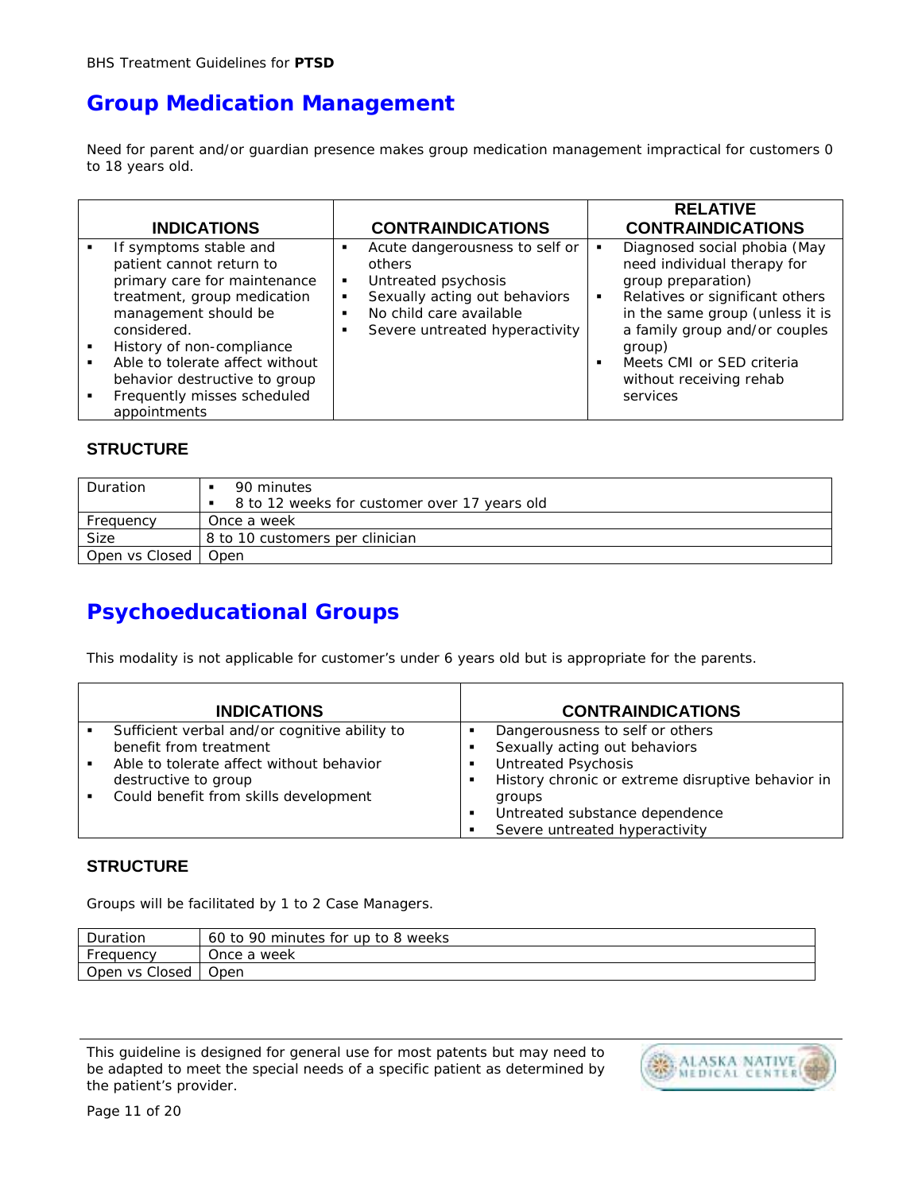## **Group Medication Management**

Need for parent and/or guardian presence makes group medication management impractical for customers 0 to 18 years old.

| <b>INDICATIONS</b>              | <b>CONTRAINDICATIONS</b>       | <b>RELATIVE</b><br><b>CONTRAINDICATIONS</b> |
|---------------------------------|--------------------------------|---------------------------------------------|
| If symptoms stable and          | Acute dangerousness to self or | Diagnosed social phobia (May                |
| patient cannot return to        | $\blacksquare$                 | need individual therapy for                 |
| primary care for maintenance    | others                         | group preparation)                          |
| treatment, group medication     | Untreated psychosis            | Relatives or significant others             |
| management should be            | ٠                              | in the same group (unless it is             |
| considered.                     | Sexually acting out behaviors  | a family group and/or couples               |
| History of non-compliance       | ٠                              | group)                                      |
| Able to tolerate affect without | No child care available        | Meets CMI or SED criteria                   |
| behavior destructive to group   | $\blacksquare$                 | $\blacksquare$                              |
| Frequently misses scheduled     | Severe untreated hyperactivity | without receiving rehab                     |
| appointments                    | ٠                              | services                                    |

### **STRUCTURE**

| Duration       | 90 minutes                                   |
|----------------|----------------------------------------------|
|                | 8 to 12 weeks for customer over 17 years old |
| Frequency      | Once a week                                  |
| Size           | 8 to 10 customers per clinician              |
| Open vs Closed | Open                                         |

## **Psychoeducational Groups**

This modality is not applicable for customer's under 6 years old but is appropriate for the parents.

|   | <b>INDICATIONS</b>                            |   | <b>CONTRAINDICATIONS</b>                          |
|---|-----------------------------------------------|---|---------------------------------------------------|
| ٠ | Sufficient verbal and/or cognitive ability to |   | Dangerousness to self or others                   |
|   | benefit from treatment                        |   | Sexually acting out behaviors                     |
|   | Able to tolerate affect without behavior      |   | <b>Untreated Psychosis</b>                        |
|   | destructive to group                          |   | History chronic or extreme disruptive behavior in |
|   | Could benefit from skills development         |   | groups                                            |
|   |                                               | л | Untreated substance dependence                    |
|   |                                               |   | Severe untreated hyperactivity                    |

### **STRUCTURE**

Groups will be facilitated by 1 to 2 Case Managers.

| Duration       | 60 to 90 minutes for up to 8 weeks |
|----------------|------------------------------------|
| Frequency      | Once a week                        |
| Open vs Closed | Open                               |

This guideline is designed for general use for most patents but may need to be adapted to meet the special needs of a specific patient as determined by the patient's provider.

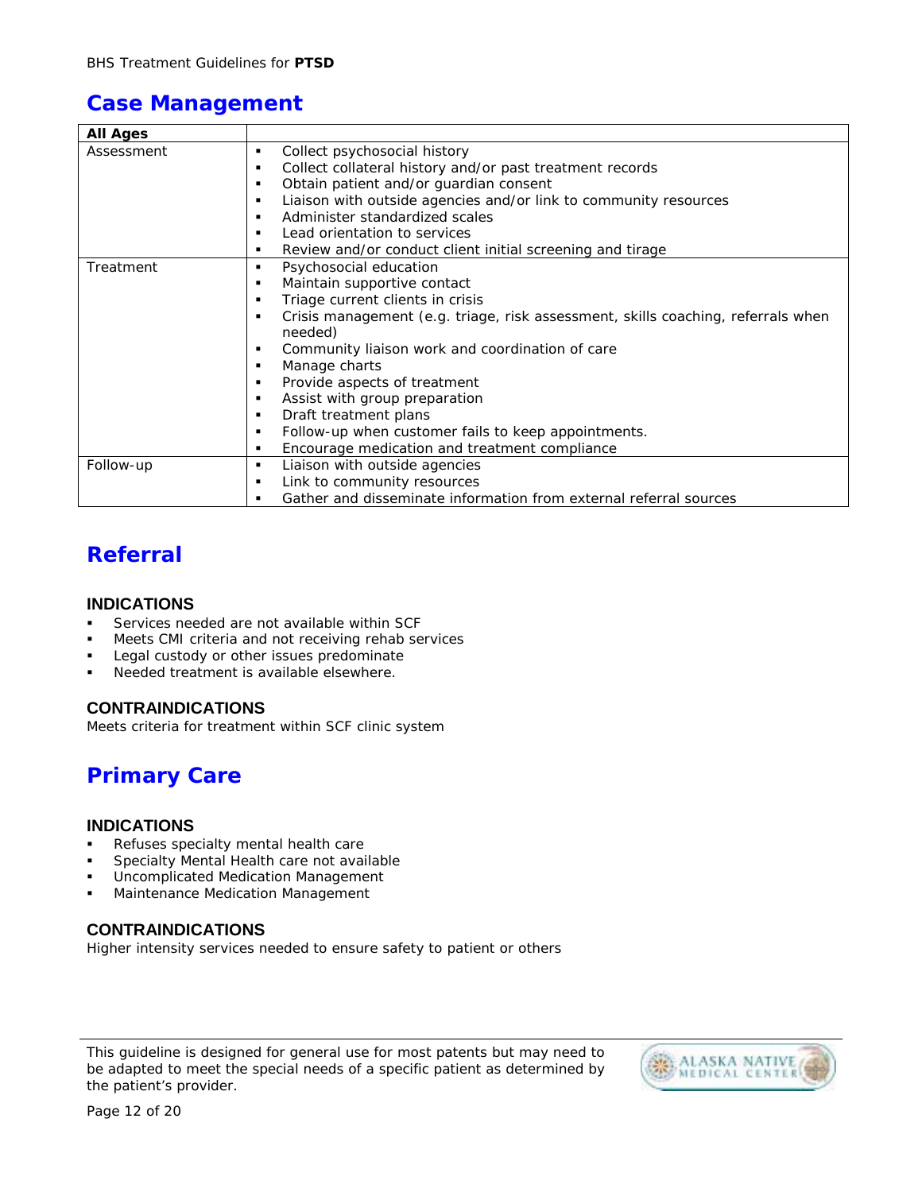## **Case Management**

| <b>All Ages</b> |                                                                                       |
|-----------------|---------------------------------------------------------------------------------------|
| Assessment      | Collect psychosocial history<br>٠                                                     |
|                 | Collect collateral history and/or past treatment records<br>٠                         |
|                 | Obtain patient and/or guardian consent<br>٠                                           |
|                 | Liaison with outside agencies and/or link to community resources<br>٠                 |
|                 | Administer standardized scales<br>٠                                                   |
|                 | Lead orientation to services<br>$\blacksquare$                                        |
|                 | Review and/or conduct client initial screening and tirage<br>٠                        |
| Treatment       | Psychosocial education<br>٠                                                           |
|                 | Maintain supportive contact<br>٠                                                      |
|                 | Triage current clients in crisis<br>٠                                                 |
|                 | Crisis management (e.g. triage, risk assessment, skills coaching, referrals when<br>٠ |
|                 | needed)                                                                               |
|                 | Community liaison work and coordination of care<br>٠                                  |
|                 | Manage charts<br>٠                                                                    |
|                 | Provide aspects of treatment<br>٠                                                     |
|                 | Assist with group preparation<br>٠                                                    |
|                 | Draft treatment plans<br>٠                                                            |
|                 | Follow-up when customer fails to keep appointments.<br>٠                              |
|                 | Encourage medication and treatment compliance<br>٠                                    |
| Follow-up       | Liaison with outside agencies<br>٠                                                    |
|                 | Link to community resources<br>٠                                                      |
|                 | Gather and disseminate information from external referral sources<br>٠                |

## **Referral**

### **INDICATIONS**

- ! Services needed are not available within SCF
- Meets CMI criteria and not receiving rehab services
- Legal custody or other issues predominate
- Needed treatment is available elsewhere.

### **CONTRAINDICATIONS**

Meets criteria for treatment within SCF clinic system

# **Primary Care**

#### **INDICATIONS**

- Refuses specialty mental health care
- Specialty Mental Health care not available
- **.** Uncomplicated Medication Management
- **Maintenance Medication Management**

### **CONTRAINDICATIONS**

Higher intensity services needed to ensure safety to patient or others

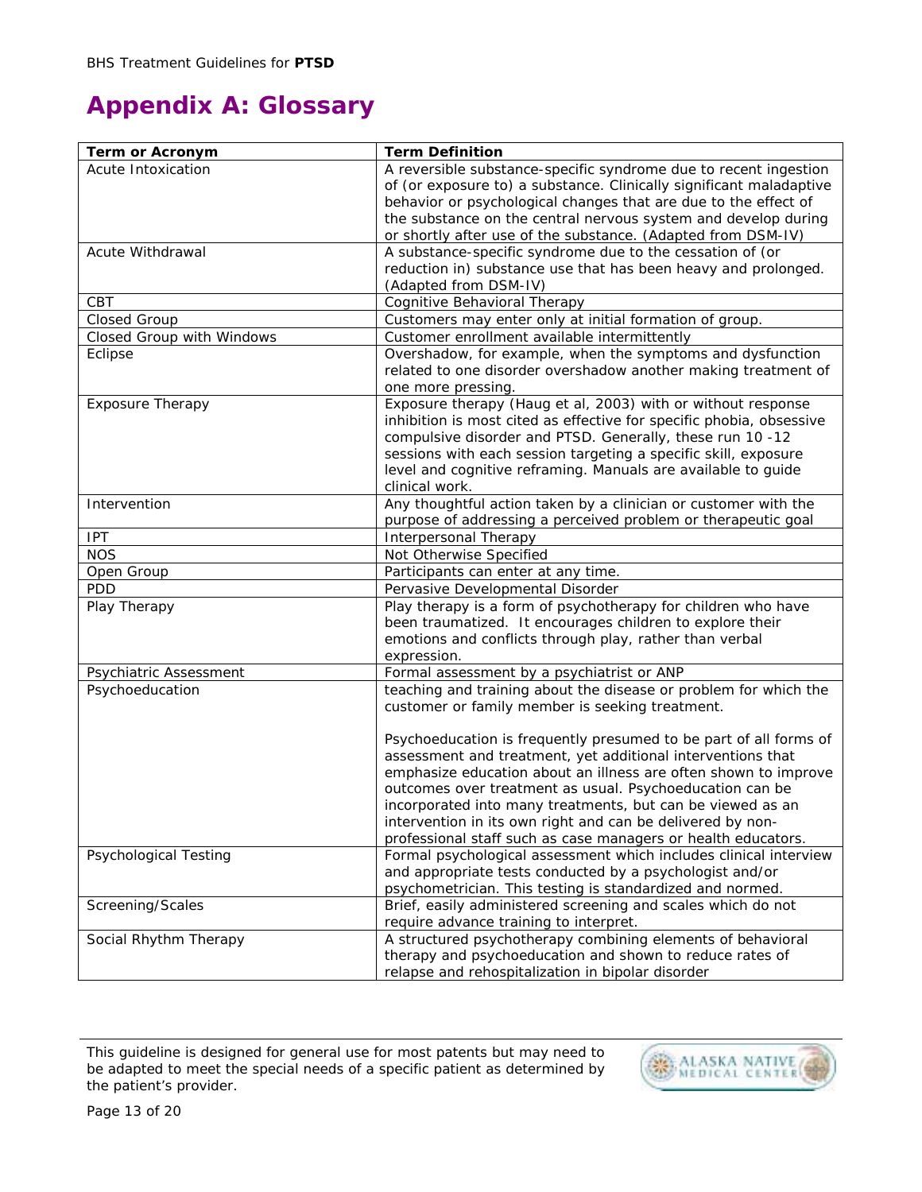# **Appendix A: Glossary**

| Term or Acronym              | <b>Term Definition</b>                                                                                                             |
|------------------------------|------------------------------------------------------------------------------------------------------------------------------------|
| Acute Intoxication           | A reversible substance-specific syndrome due to recent ingestion                                                                   |
|                              | of (or exposure to) a substance. Clinically significant maladaptive                                                                |
|                              | behavior or psychological changes that are due to the effect of                                                                    |
|                              | the substance on the central nervous system and develop during                                                                     |
|                              | or shortly after use of the substance. (Adapted from DSM-IV)                                                                       |
| Acute Withdrawal             | A substance-specific syndrome due to the cessation of (or                                                                          |
|                              | reduction in) substance use that has been heavy and prolonged.                                                                     |
|                              | (Adapted from DSM-IV)                                                                                                              |
| CBT                          | Cognitive Behavioral Therapy                                                                                                       |
| Closed Group                 | Customers may enter only at initial formation of group.                                                                            |
| Closed Group with Windows    | Customer enrollment available intermittently                                                                                       |
| Eclipse                      | Overshadow, for example, when the symptoms and dysfunction                                                                         |
|                              | related to one disorder overshadow another making treatment of<br>one more pressing.                                               |
| Exposure Therapy             | Exposure therapy (Haug et al, 2003) with or without response                                                                       |
|                              | inhibition is most cited as effective for specific phobia, obsessive                                                               |
|                              | compulsive disorder and PTSD. Generally, these run 10 -12                                                                          |
|                              | sessions with each session targeting a specific skill, exposure                                                                    |
|                              | level and cognitive reframing. Manuals are available to guide                                                                      |
|                              | clinical work.                                                                                                                     |
| Intervention                 | Any thoughtful action taken by a clinician or customer with the                                                                    |
|                              | purpose of addressing a perceived problem or therapeutic goal                                                                      |
| <b>IPT</b>                   | Interpersonal Therapy                                                                                                              |
| <b>NOS</b>                   | Not Otherwise Specified                                                                                                            |
| Open Group                   | Participants can enter at any time.                                                                                                |
| <b>PDD</b>                   | Pervasive Developmental Disorder                                                                                                   |
| Play Therapy                 | Play therapy is a form of psychotherapy for children who have                                                                      |
|                              | been traumatized. It encourages children to explore their                                                                          |
|                              | emotions and conflicts through play, rather than verbal                                                                            |
|                              | expression.                                                                                                                        |
| Psychiatric Assessment       | Formal assessment by a psychiatrist or ANP                                                                                         |
| Psychoeducation              | teaching and training about the disease or problem for which the                                                                   |
|                              | customer or family member is seeking treatment.                                                                                    |
|                              |                                                                                                                                    |
|                              | Psychoeducation is frequently presumed to be part of all forms of                                                                  |
|                              | assessment and treatment, yet additional interventions that                                                                        |
|                              | emphasize education about an illness are often shown to improve                                                                    |
|                              | outcomes over treatment as usual. Psychoeducation can be                                                                           |
|                              | incorporated into many treatments, but can be viewed as an                                                                         |
|                              | intervention in its own right and can be delivered by non-                                                                         |
| <b>Psychological Testing</b> | professional staff such as case managers or health educators.<br>Formal psychological assessment which includes clinical interview |
|                              | and appropriate tests conducted by a psychologist and/or                                                                           |
|                              | psychometrician. This testing is standardized and normed.                                                                          |
| Screening/Scales             | Brief, easily administered screening and scales which do not                                                                       |
|                              | require advance training to interpret.                                                                                             |
| Social Rhythm Therapy        | A structured psychotherapy combining elements of behavioral                                                                        |
|                              | therapy and psychoeducation and shown to reduce rates of                                                                           |
|                              | relapse and rehospitalization in bipolar disorder                                                                                  |
|                              |                                                                                                                                    |

This guideline is designed for general use for most patents but may need to be adapted to meet the special needs of a specific patient as determined by the patient's provider.

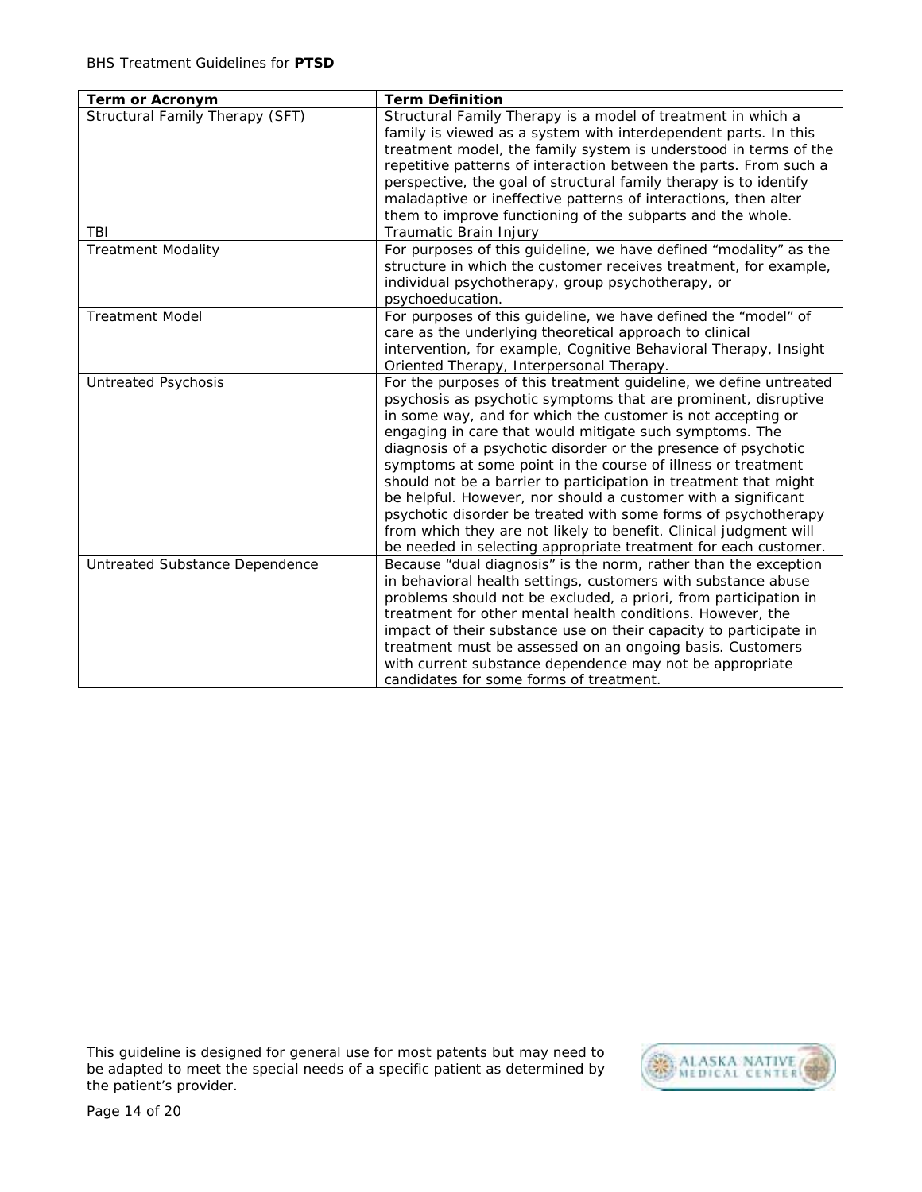| Term or Acronym                 | <b>Term Definition</b>                                                                                                                                                                                                                                                                                                                                                                                                                                                                                                                                                                                                                                                                                                                         |
|---------------------------------|------------------------------------------------------------------------------------------------------------------------------------------------------------------------------------------------------------------------------------------------------------------------------------------------------------------------------------------------------------------------------------------------------------------------------------------------------------------------------------------------------------------------------------------------------------------------------------------------------------------------------------------------------------------------------------------------------------------------------------------------|
| Structural Family Therapy (SFT) | Structural Family Therapy is a model of treatment in which a<br>family is viewed as a system with interdependent parts. In this<br>treatment model, the family system is understood in terms of the<br>repetitive patterns of interaction between the parts. From such a<br>perspective, the goal of structural family therapy is to identify<br>maladaptive or ineffective patterns of interactions, then alter<br>them to improve functioning of the subparts and the whole.                                                                                                                                                                                                                                                                 |
| TBI                             | Traumatic Brain Injury                                                                                                                                                                                                                                                                                                                                                                                                                                                                                                                                                                                                                                                                                                                         |
| <b>Treatment Modality</b>       | For purposes of this guideline, we have defined "modality" as the<br>structure in which the customer receives treatment, for example,<br>individual psychotherapy, group psychotherapy, or<br>psychoeducation.                                                                                                                                                                                                                                                                                                                                                                                                                                                                                                                                 |
| <b>Treatment Model</b>          | For purposes of this guideline, we have defined the "model" of<br>care as the underlying theoretical approach to clinical<br>intervention, for example, Cognitive Behavioral Therapy, Insight<br>Oriented Therapy, Interpersonal Therapy.                                                                                                                                                                                                                                                                                                                                                                                                                                                                                                      |
| <b>Untreated Psychosis</b>      | For the purposes of this treatment guideline, we define untreated<br>psychosis as psychotic symptoms that are prominent, disruptive<br>in some way, and for which the customer is not accepting or<br>engaging in care that would mitigate such symptoms. The<br>diagnosis of a psychotic disorder or the presence of psychotic<br>symptoms at some point in the course of illness or treatment<br>should not be a barrier to participation in treatment that might<br>be helpful. However, nor should a customer with a significant<br>psychotic disorder be treated with some forms of psychotherapy<br>from which they are not likely to benefit. Clinical judgment will<br>be needed in selecting appropriate treatment for each customer. |
| Untreated Substance Dependence  | Because "dual diagnosis" is the norm, rather than the exception<br>in behavioral health settings, customers with substance abuse<br>problems should not be excluded, a priori, from participation in<br>treatment for other mental health conditions. However, the<br>impact of their substance use on their capacity to participate in<br>treatment must be assessed on an ongoing basis. Customers<br>with current substance dependence may not be appropriate<br>candidates for some forms of treatment.                                                                                                                                                                                                                                    |

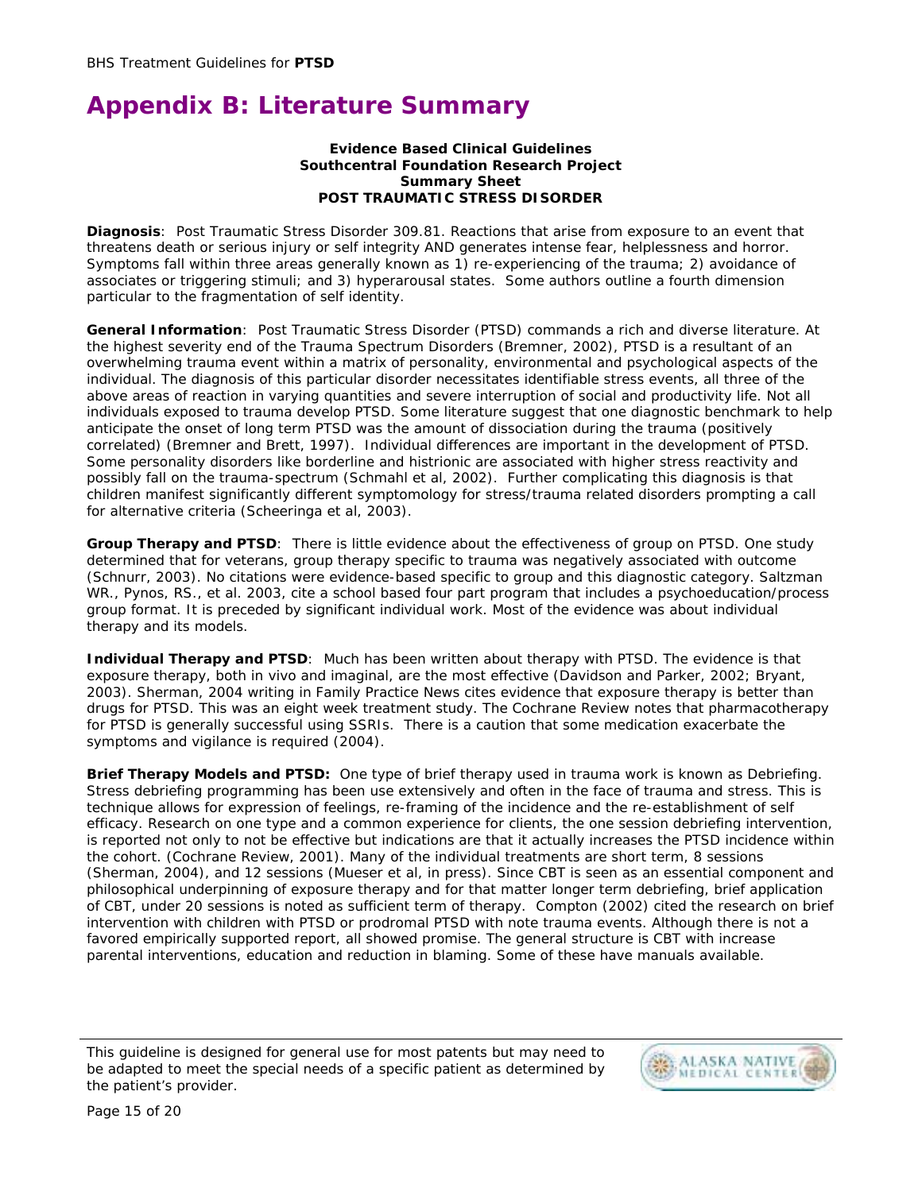# **Appendix B: Literature Summary**

#### **Evidence Based Clinical Guidelines Southcentral Foundation Research Project Summary Sheet POST TRAUMATIC STRESS DISORDER**

**Diagnosis**: Post Traumatic Stress Disorder 309.81. Reactions that arise from exposure to an event that threatens death or serious injury or self integrity AND generates intense fear, helplessness and horror. Symptoms fall within three areas generally known as 1) re-experiencing of the trauma; 2) avoidance of associates or triggering stimuli; and 3) hyperarousal states. Some authors outline a fourth dimension particular to the fragmentation of self identity.

**General Information**: Post Traumatic Stress Disorder (PTSD) commands a rich and diverse literature. At the highest severity end of the Trauma Spectrum Disorders (Bremner, 2002), PTSD is a resultant of an overwhelming trauma event within a matrix of personality, environmental and psychological aspects of the individual. The diagnosis of this particular disorder necessitates identifiable stress events, all three of the above areas of reaction in varying quantities and severe interruption of social and productivity life. Not all individuals exposed to trauma develop PTSD. Some literature suggest that one diagnostic benchmark to help anticipate the onset of long term PTSD was the amount of dissociation during the trauma (positively correlated) (Bremner and Brett, 1997). Individual differences are important in the development of PTSD. Some personality disorders like borderline and histrionic are associated with higher stress reactivity and possibly fall on the trauma-spectrum (Schmahl et al, 2002). Further complicating this diagnosis is that children manifest significantly different symptomology for stress/trauma related disorders prompting a call for alternative criteria (Scheeringa et al, 2003).

**Group Therapy and PTSD**: There is little evidence about the effectiveness of group on PTSD. One study determined that for veterans, group therapy specific to trauma was negatively associated with outcome (Schnurr, 2003). No citations were evidence-based specific to group and this diagnostic category. Saltzman WR., Pynos, RS., et al. 2003, cite a school based four part program that includes a psychoeducation/process group format. It is preceded by significant individual work. Most of the evidence was about individual therapy and its models.

**Individual Therapy and PTSD**: Much has been written about therapy with PTSD. The evidence is that exposure therapy, both in vivo and imaginal, are the most effective (Davidson and Parker, 2002; Bryant, 2003). Sherman, 2004 writing in *Family Practice News* cites evidence that exposure therapy is better than drugs for PTSD. This was an eight week treatment study. The Cochrane Review notes that pharmacotherapy for PTSD is generally successful using SSRIs. There is a caution that some medication exacerbate the symptoms and vigilance is required (2004).

**Brief Therapy Models and PTSD:** One type of brief therapy used in trauma work is known as Debriefing. Stress debriefing programming has been use extensively and often in the face of trauma and stress. This is technique allows for expression of feelings, re-framing of the incidence and the re-establishment of self efficacy. Research on one type and a common experience for clients, the one session debriefing intervention, is reported not only to not be effective but indications are that it actually increases the PTSD incidence within the cohort. (Cochrane Review, 2001). Many of the individual treatments are short term, 8 sessions (Sherman, 2004), and 12 sessions (Mueser et al, in press). Since CBT is seen as an essential component and philosophical underpinning of exposure therapy and for that matter longer term debriefing, brief application of CBT, under 20 sessions is noted as sufficient term of therapy. Compton (2002) cited the research on brief intervention with children with PTSD or prodromal PTSD with note trauma events. Although there is not a favored empirically supported report, all showed promise. The general structure is CBT with increase parental interventions, education and reduction in blaming. Some of these have manuals available.

This guideline is designed for general use for most patents but may need to be adapted to meet the special needs of a specific patient as determined by the patient's provider.

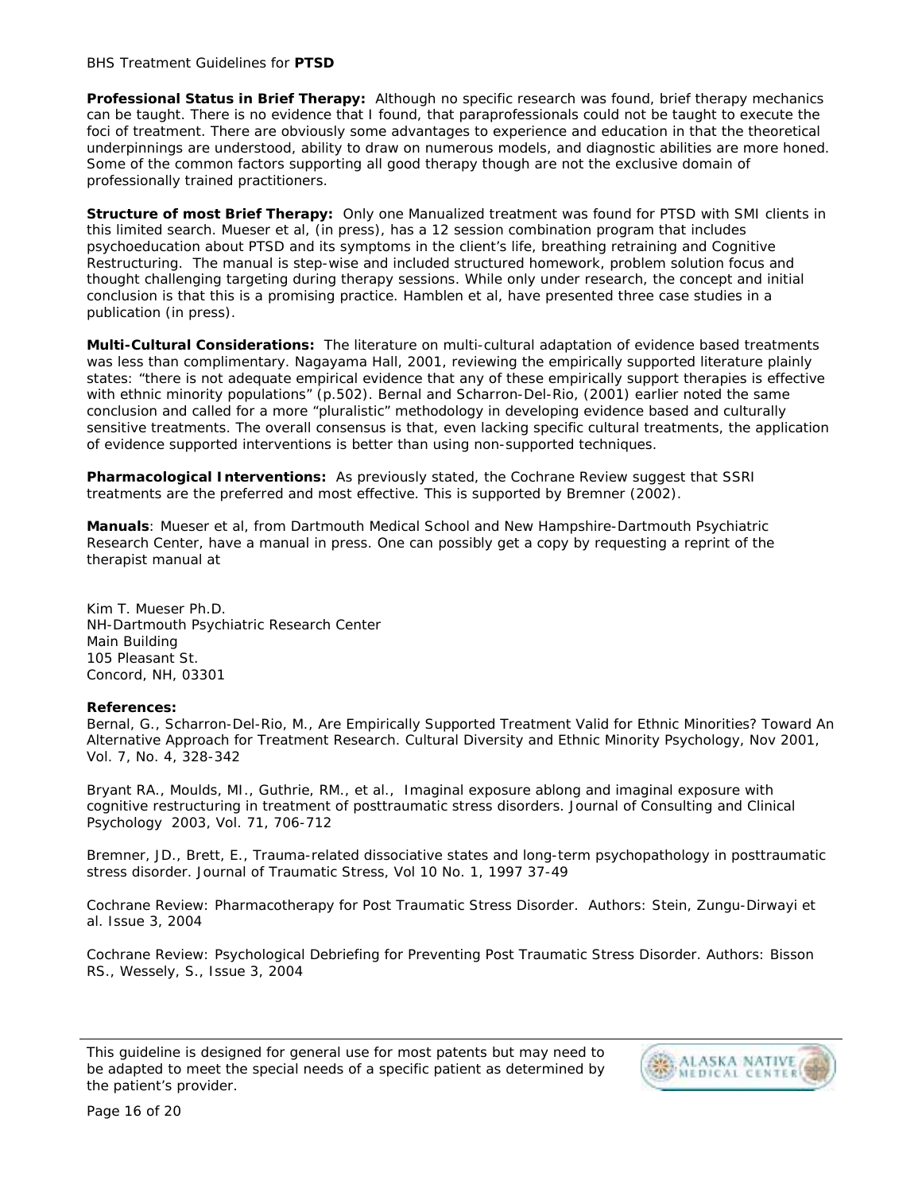#### BHS Treatment Guidelines for **PTSD**

**Professional Status in Brief Therapy:** Although no specific research was found, brief therapy mechanics can be taught. There is no evidence that I found, that paraprofessionals could not be taught to execute the foci of treatment. There are obviously some advantages to experience and education in that the theoretical underpinnings are understood, ability to draw on numerous models, and diagnostic abilities are more honed. Some of the common factors supporting all good therapy though are not the exclusive domain of professionally trained practitioners.

**Structure of most Brief Therapy:** Only one Manualized treatment was found for PTSD with SMI clients in this limited search. Mueser et al, (in press), has a 12 session combination program that includes psychoeducation about PTSD and its symptoms in the client's life, breathing retraining and Cognitive Restructuring. The manual is step-wise and included structured homework, problem solution focus and thought challenging targeting during therapy sessions. While only under research, the concept and initial conclusion is that this is a promising practice. Hamblen et al, have presented three case studies in a publication (in press).

**Multi-Cultural Considerations:** The literature on multi-cultural adaptation of evidence based treatments was less than complimentary. Nagayama Hall, 2001, reviewing the empirically supported literature plainly states: "there is not adequate empirical evidence that any of these empirically support therapies is effective with ethnic minority populations" (p.502). Bernal and Scharron-Del-Rio, (2001) earlier noted the same conclusion and called for a more "pluralistic" methodology in developing evidence based and culturally sensitive treatments. The overall consensus is that, even lacking specific cultural treatments, the application of evidence supported interventions is better than using non-supported techniques.

**Pharmacological Interventions:** As previously stated, the Cochrane Review suggest that SSRI treatments are the preferred and most effective. This is supported by Bremner (2002).

**Manuals**: Mueser et al, from Dartmouth Medical School and New Hampshire-Dartmouth Psychiatric Research Center, have a manual in press. One can possibly get a copy by requesting a reprint of the therapist manual at

Kim T. Mueser Ph.D. NH-Dartmouth Psychiatric Research Center Main Building 105 Pleasant St. Concord, NH, 03301

#### **References:**

Bernal, G., Scharron-Del-Rio, M., Are Empirically Supported Treatment Valid for Ethnic Minorities? Toward An Alternative Approach for Treatment Research. *Cultural Diversity and Ethnic Minority Psychology*, Nov 2001, Vol. 7, No. 4, 328-342

Bryant RA., Moulds, MI., Guthrie, RM., et al., Imaginal exposure ablong and imaginal exposure with cognitive restructuring in treatment of posttraumatic stress disorders. *Journal of Consulting and Clinical Psychology* 2003, Vol. 71, 706-712

Bremner, JD., Brett, E., Trauma-related dissociative states and long-term psychopathology in posttraumatic stress disorder. *Journal of Traumatic Stress,* Vol 10 No. 1, 1997 37-49

Cochrane Review: Pharmacotherapy for Post Traumatic Stress Disorder. Authors: Stein, Zungu-Dirwayi et al. Issue 3, 2004

Cochrane Review: Psychological Debriefing for Preventing Post Traumatic Stress Disorder. Authors: Bisson RS., Wessely, S., Issue 3, 2004

This guideline is designed for general use for most patents but may need to be adapted to meet the special needs of a specific patient as determined by the patient's provider.

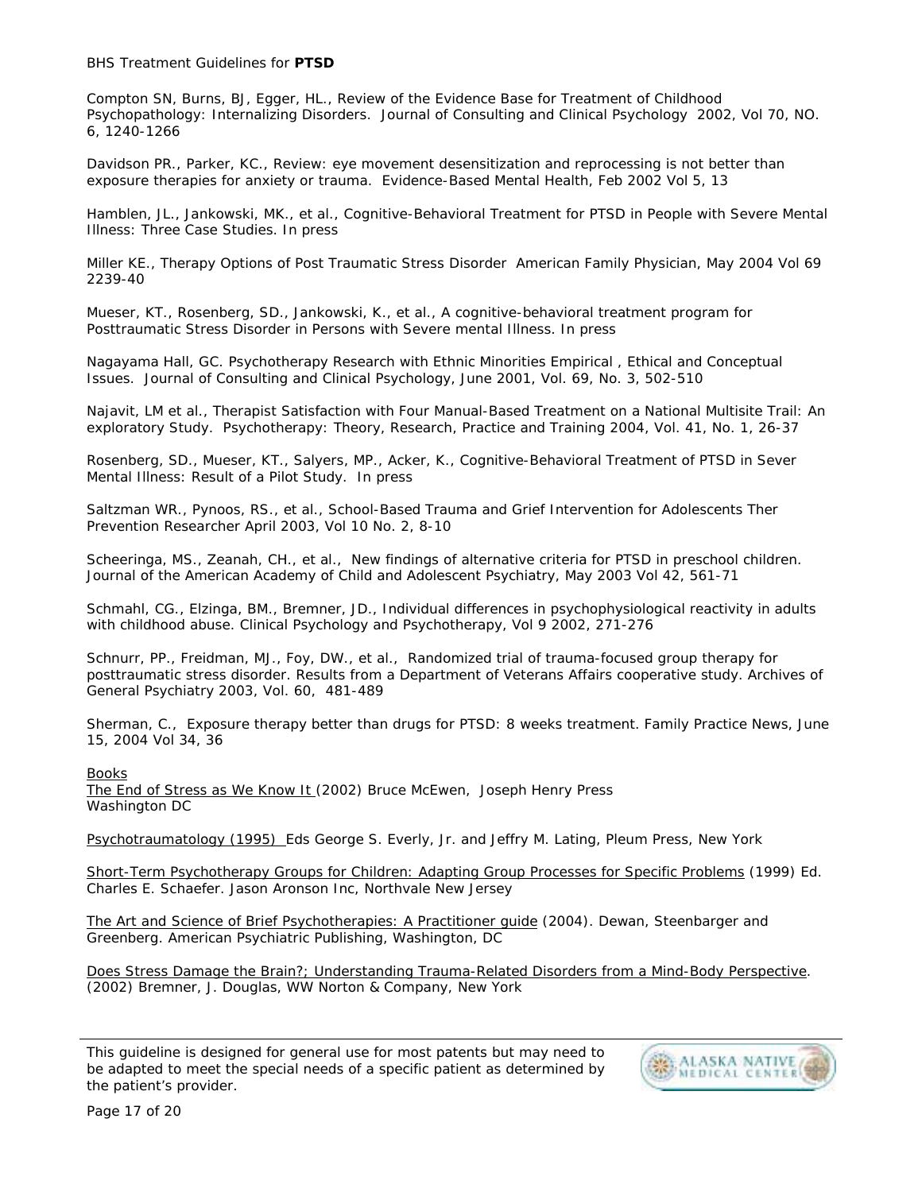BHS Treatment Guidelines for **PTSD** 

Compton SN, Burns, BJ, Egger, HL., Review of the Evidence Base for Treatment of Childhood Psychopathology: Internalizing Disorders. *Journal of Consulting and Clinical Psychology* 2002, Vol 70, NO. 6, 1240-1266

Davidson PR., Parker, KC., Review: eye movement desensitization and reprocessing is not better than exposure therapies for anxiety or trauma. *Evidence-Based Mental Health*, Feb 2002 Vol 5, 13

Hamblen, JL., Jankowski, MK., et al., Cognitive-Behavioral Treatment for PTSD in People with Severe Mental Illness: Three Case Studies. In press

Miller KE., Therapy Options of Post Traumatic Stress Disorder *American Family Physician*, May 2004 Vol 69 2239-40

Mueser, KT., Rosenberg, SD., Jankowski, K., et al., A cognitive-behavioral treatment program for Posttraumatic Stress Disorder in Persons with Severe mental Illness. In press

Nagayama Hall, GC. Psychotherapy Research with Ethnic Minorities Empirical , Ethical and Conceptual Issues. *Journal of Consulting and Clinical Psychology*, June 2001, Vol. 69, No. 3, 502-510

Najavit, LM et al., Therapist Satisfaction with Four Manual-Based Treatment on a National Multisite Trail: An exploratory Study. *Psychotherapy: Theory, Research, Practice and Training* 2004, Vol. 41, No. 1, 26-37

Rosenberg, SD., Mueser, KT., Salyers, MP., Acker, K., Cognitive-Behavioral Treatment of PTSD in Sever Mental Illness: Result of a Pilot Study. In press

Saltzman WR., Pynoos, RS., et al., School-Based Trauma and Grief Intervention for Adolescents Ther Prevention Researcher April 2003, Vol 10 No. 2, 8-10

Scheeringa, MS., Zeanah, CH., et al., New findings of alternative criteria for PTSD in preschool children. *Journal of the American Academy of Child and Adolescent Psychiatry*, May 2003 Vol 42, 561-71

Schmahl, CG., Elzinga, BM., Bremner, JD., Individual differences in psychophysiological reactivity in adults with childhood abuse. *Clinical Psychology and Psychotherapy,* Vol 9 2002, 271-276

Schnurr, PP., Freidman, MJ., Foy, DW., et al., Randomized trial of trauma-focused group therapy for posttraumatic stress disorder. Results from a Department of Veterans Affairs cooperative study. *Archives of General Psychiatry* 2003, Vol. 60, 481-489

Sherman, C., Exposure therapy better than drugs for PTSD: 8 weeks treatment. *Family Practice News*, June 15, 2004 Vol 34, 36

**Books** 

The End of Stress as We Know It (2002) Bruce McEwen, Joseph Henry Press Washington DC

Psychotraumatology (1995) Eds George S. Everly, Jr. and Jeffry M. Lating, Pleum Press, New York

Short-Term Psychotherapy Groups for Children: Adapting Group Processes for Specific Problems (1999) Ed. Charles E. Schaefer. Jason Aronson Inc, Northvale New Jersey

The Art and Science of Brief Psychotherapies: A Practitioner guide (2004). Dewan, Steenbarger and Greenberg. American Psychiatric Publishing, Washington, DC

Does Stress Damage the Brain?; Understanding Trauma-Related Disorders from a Mind-Body Perspective. (2002) Bremner, J. Douglas, WW Norton & Company, New York

This guideline is designed for general use for most patents but may need to be adapted to meet the special needs of a specific patient as determined by the patient's provider.

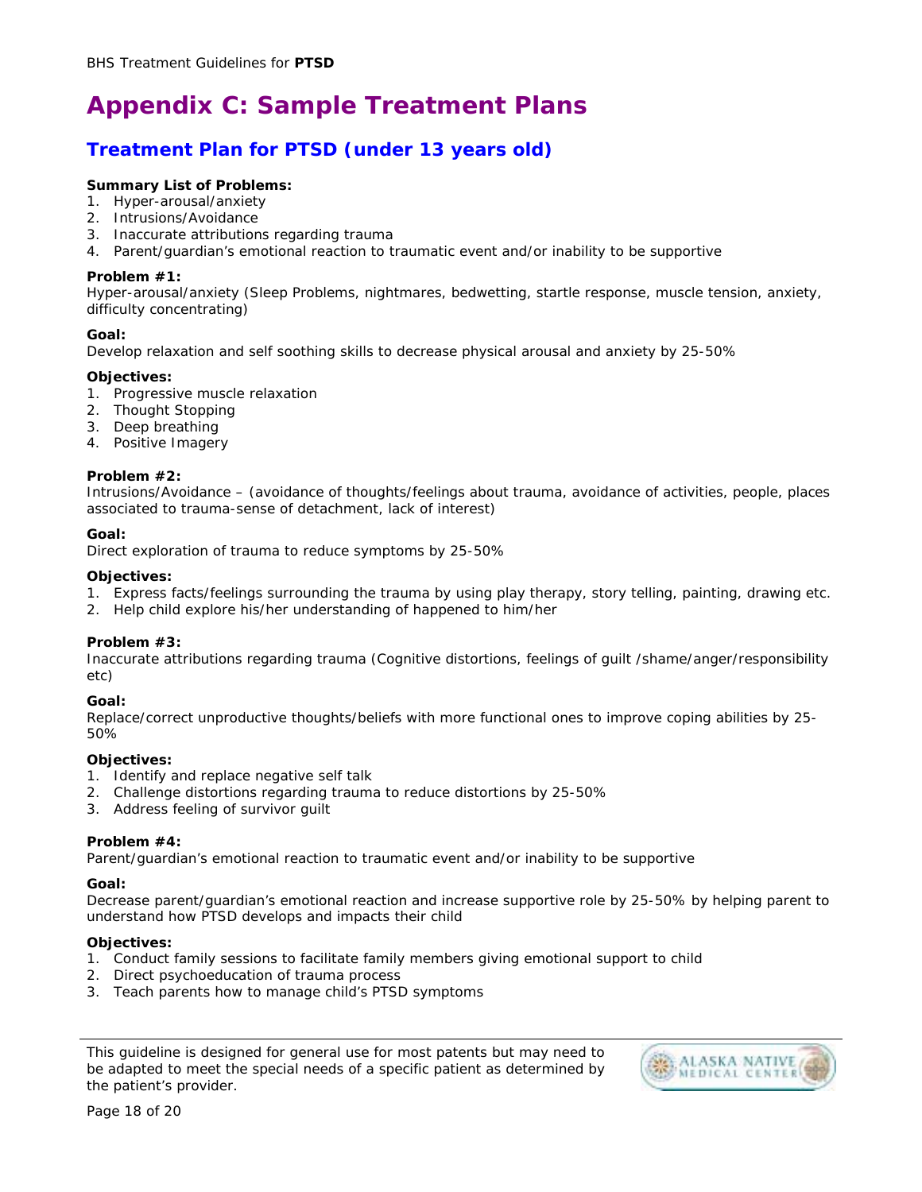# **Appendix C: Sample Treatment Plans**

## **Treatment Plan for PTSD (under 13 years old)**

#### **Summary List of Problems:**

- 1. Hyper-arousal/anxiety
- 2. Intrusions/Avoidance
- 3. Inaccurate attributions regarding trauma
- 4. Parent/guardian's emotional reaction to traumatic event and/or inability to be supportive

#### **Problem #1:**

Hyper-arousal/anxiety (Sleep Problems, nightmares, bedwetting, startle response, muscle tension, anxiety, difficulty concentrating)

#### **Goal:**

Develop relaxation and self soothing skills to decrease physical arousal and anxiety by 25-50%

#### **Objectives:**

- 1. Progressive muscle relaxation
- 2. Thought Stopping
- 3. Deep breathing
- 4. Positive Imagery

#### **Problem #2:**

Intrusions/Avoidance – (avoidance of thoughts/feelings about trauma, avoidance of activities, people, places associated to trauma-sense of detachment, lack of interest)

#### **Goal:**

Direct exploration of trauma to reduce symptoms by 25-50%

#### **Objectives:**

- 1. Express facts/feelings surrounding the trauma by using play therapy, story telling, painting, drawing etc.
- 2. Help child explore his/her understanding of happened to him/her

#### **Problem #3:**

Inaccurate attributions regarding trauma (Cognitive distortions, feelings of guilt /shame/anger/responsibility etc)

#### **Goal:**

Replace/correct unproductive thoughts/beliefs with more functional ones to improve coping abilities by 25- 50%

#### **Objectives:**

- 1. Identify and replace negative self talk
- 2. Challenge distortions regarding trauma to reduce distortions by 25-50%
- 3. Address feeling of survivor guilt

#### **Problem #4:**

Parent/guardian's emotional reaction to traumatic event and/or inability to be supportive

#### **Goal:**

Decrease parent/guardian's emotional reaction and increase supportive role by 25-50% by helping parent to understand how PTSD develops and impacts their child

#### **Objectives:**

- 1. Conduct family sessions to facilitate family members giving emotional support to child
- 2. Direct psychoeducation of trauma process
- 3. Teach parents how to manage child's PTSD symptoms

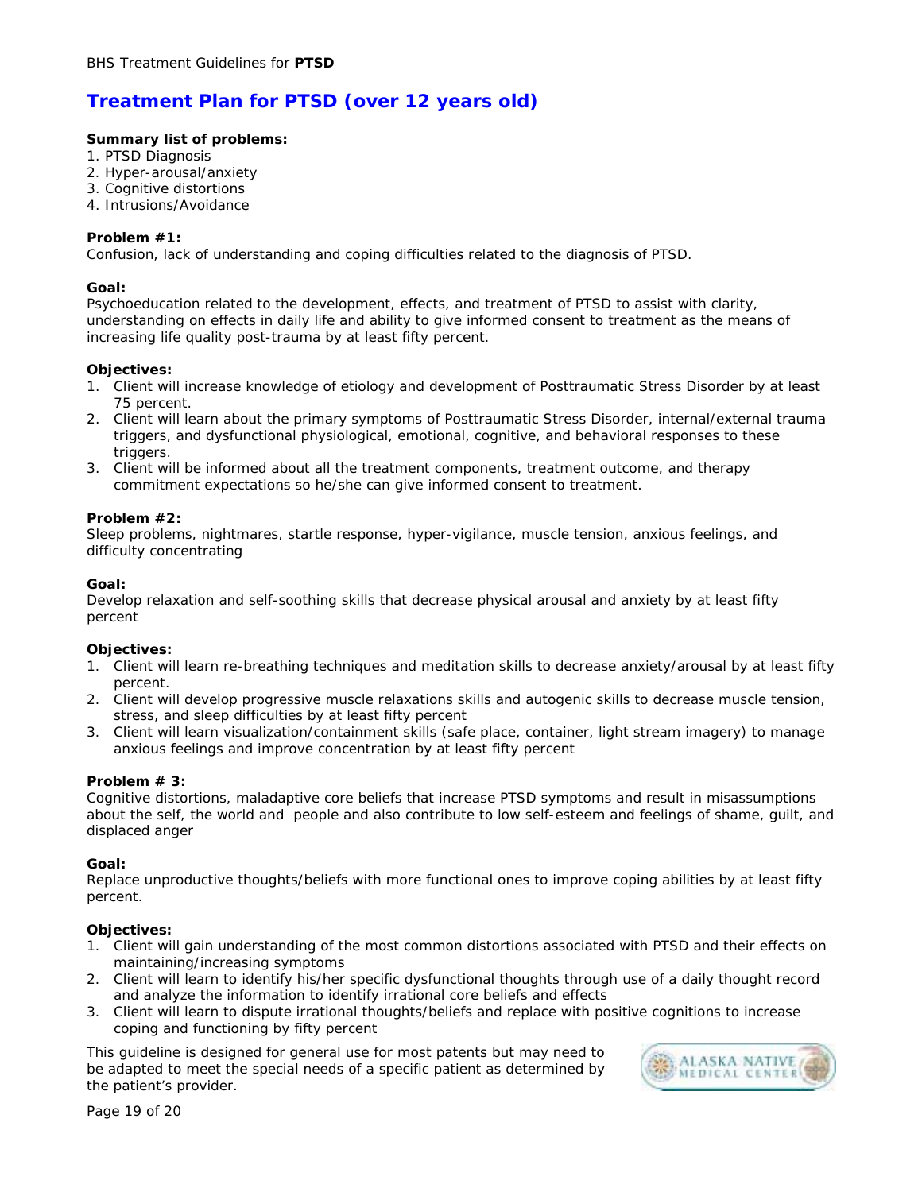## **Treatment Plan for PTSD (over 12 years old)**

#### **Summary list of problems:**

- 1. PTSD Diagnosis
- 2. Hyper-arousal/anxiety
- 3. Cognitive distortions
- 4. Intrusions/Avoidance

#### **Problem #1:**

Confusion, lack of understanding and coping difficulties related to the diagnosis of PTSD.

#### **Goal:**

Psychoeducation related to the development, effects, and treatment of PTSD to assist with clarity, understanding on effects in daily life and ability to give informed consent to treatment as the means of increasing life quality post-trauma by at least fifty percent.

#### **Objectives:**

- 1. Client will increase knowledge of etiology and development of Posttraumatic Stress Disorder by at least 75 percent.
- 2. Client will learn about the primary symptoms of Posttraumatic Stress Disorder, internal/external trauma triggers, and dysfunctional physiological, emotional, cognitive, and behavioral responses to these triggers.
- 3. Client will be informed about all the treatment components, treatment outcome, and therapy commitment expectations so he/she can give informed consent to treatment.

#### **Problem #2:**

Sleep problems, nightmares, startle response, hyper-vigilance, muscle tension, anxious feelings, and difficulty concentrating

#### **Goal:**

Develop relaxation and self-soothing skills that decrease physical arousal and anxiety by at least fifty percent

#### **Objectives:**

- 1. Client will learn re-breathing techniques and meditation skills to decrease anxiety/arousal by at least fifty percent.
- 2. Client will develop progressive muscle relaxations skills and autogenic skills to decrease muscle tension, stress, and sleep difficulties by at least fifty percent
- 3. Client will learn visualization/containment skills (safe place, container, light stream imagery) to manage anxious feelings and improve concentration by at least fifty percent

#### **Problem # 3:**

Cognitive distortions, maladaptive core beliefs that increase PTSD symptoms and result in misassumptions about the self, the world and people and also contribute to low self-esteem and feelings of shame, guilt, and displaced anger

#### **Goal:**

Replace unproductive thoughts/beliefs with more functional ones to improve coping abilities by at least fifty percent.

#### **Objectives:**

- 1. Client will gain understanding of the most common distortions associated with PTSD and their effects on maintaining/increasing symptoms
- 2. Client will learn to identify his/her specific dysfunctional thoughts through use of a daily thought record and analyze the information to identify irrational core beliefs and effects
- 3. Client will learn to dispute irrational thoughts/beliefs and replace with positive cognitions to increase coping and functioning by fifty percent